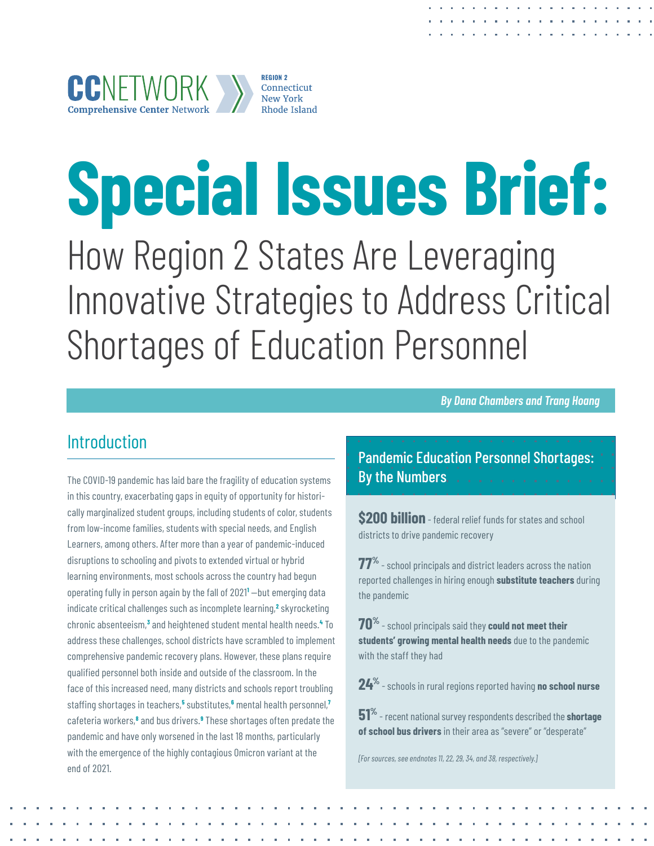# <span id="page-0-0"></span>**Special Issues Brief:**

How Region 2 States Are Leveraging Innovative Strategies to Address Critical Shortages of Education Personnel

*By Dana Chambers and Trang Hoang*

## Introduction

The COVID-19 pandemic has laid bare the fragility of education systems in this country, exacerbating gaps in equity of opportunity for historically marginalized student groups, including students of color, students from low-income families, students with special needs, and English Learners, among others. After more than a year of pandemic-induced disruptions to schooling and pivots to extended virtual or hybrid learning environments, most schools across the country had begun operating fully in person again by the fall of 2021**[1](#page-12-0)** —but emerging data indicate critical challenges such as incomplete learning,<sup>[2](#page-12-0)</sup> skyrocketing chronic absenteeism,**[3](#page-12-0)** and heightened student mental health needs.**[4](#page-12-0)** To address these challenges, school districts have scrambled to implement comprehensive pandemic recovery plans. However, these plans require qualified personnel both inside and outside of the classroom. In the face of this increased need, many districts and schools report troubling staffing shortages in teachers,**[5](#page-12-0)** substitutes,**[6](#page-12-0)** mental health personnel,**[7](#page-12-0)** cafeteria workers,<sup>[8](#page-12-0)</sup> and bus drivers.<sup>[9](#page-12-0)</sup> These shortages often predate the pandemic and have only worsened in the last 18 months, particularly with the emergence of the highly contagious Omicron variant at the end of 2021.

Pandemic Education Personnel Shortages: By the Numbers

**\$200 billion** - federal relief funds for states and school districts to drive pandemic recovery

**77%** - school principals and district leaders across the nation reported challenges in hiring enough **substitute teachers** during the pandemic

**70%** - school principals said they **could not meet their students' growing mental health needs** due to the pandemic with the staff they had

**24%** - schools in rural regions reported having **no school nurse**

**51%** - recent national survey respondents described the **shortage of school bus drivers** in their area as "severe" or "desperate"

*[For sources, see endnotes 11, 22, 29, 34, and 38, respectively.]*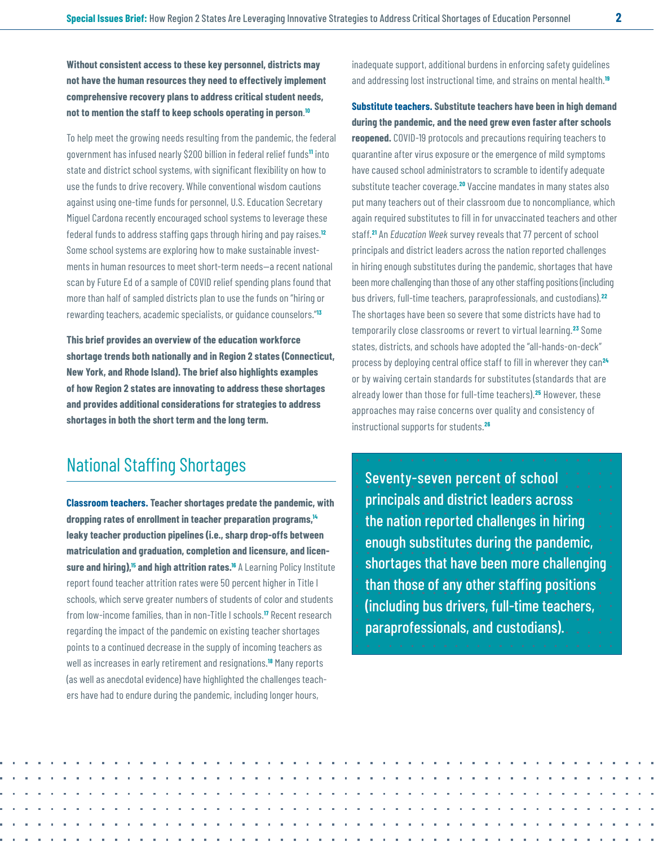<span id="page-1-0"></span>**Without consistent access to these key personnel, districts may not have the human resources they need to effectively implement comprehensive recovery plans to address critical student needs, not to mention the staff to keep schools operating in person**. **[10](#page-12-0)**

To help meet the growing needs resulting from the pandemic, the federal government has infused nearly \$200 billion in federal relief funds**[11](#page-12-0)** into state and district school systems, with significant flexibility on how to use the funds to drive recovery. While conventional wisdom cautions against using one-time funds for personnel, U.S. Education Secretary Miguel Cardona recently encouraged school systems to leverage these federal funds to address staffing gaps through hiring and pay raises.**[12](#page-12-0)** Some school systems are exploring how to make sustainable investments in human resources to meet short-term needs—a recent national scan by Future Ed of a sample of COVID relief spending plans found that more than half of sampled districts plan to use the funds on "hiring or rewarding teachers, academic specialists, or guidance counselors."**[13](#page-12-0)**

**This brief provides an overview of the education workforce shortage trends both nationally and in Region 2 states (Connecticut, New York, and Rhode Island). The brief also highlights examples of how Region 2 states are innovating to address these shortages and provides additional considerations for strategies to address shortages in both the short term and the long term.** 

## National Staffing Shortages

**Classroom teachers. Teacher shortages predate the pandemic, with dropping rates of enrollment in teacher preparation programs[,14](#page-12-0) leaky teacher production pipelines (i.e., sharp drop-offs between matriculation and graduation, completion and licensure, and licensure and hiring)[,15](#page-12-0) and high attrition rates[.16](#page-13-0)** A Learning Policy Institute report found teacher attrition rates were 50 percent higher in Title I schools, which serve greater numbers of students of color and students from low-income families, than in non-Title I schools.**[17](#page-13-0)** Recent research regarding the impact of the pandemic on existing teacher shortages points to a continued decrease in the supply of incoming teachers as well as increases in early retirement and resignations.**[18](#page-13-0)** Many reports (as well as anecdotal evidence) have highlighted the challenges teachers have had to endure during the pandemic, including longer hours,

inadequate support, additional burdens in enforcing safety guidelines and addressing lost instructional time, and strains on mental health.**[19](#page-13-0)**

**Substitute teachers. Substitute teachers have been in high demand during the pandemic, and the need grew even faster after schools reopened.** COVID-19 protocols and precautions requiring teachers to quarantine after virus exposure or the emergence of mild symptoms have caused school administrators to scramble to identify adequate substitute teacher coverage.**[20](#page-13-0)** Vaccine mandates in many states also put many teachers out of their classroom due to noncompliance, which again required substitutes to fill in for unvaccinated teachers and other staff.**[21](#page-13-0)** An *Education Week* survey reveals that 77 percent of school principals and district leaders across the nation reported challenges in hiring enough substitutes during the pandemic, shortages that have been more challenging than those of any other staffing positions (including bus drivers, full-time teachers, paraprofessionals, and custodians).**[22](#page-13-0)** The shortages have been so severe that some districts have had to temporarily close classrooms or revert to virtual learning.**[23](#page-13-0)** Some states, districts, and schools have adopted the "all-hands-on-deck" process by deploying central office staff to fill in wherever they can**[24](#page-13-0)** or by waiving certain standards for substitutes (standards that are already lower than those for full-time teachers).**[25](#page-13-0)** However, these approaches may raise concerns over quality and consistency of instructional supports for students.**[26](#page-13-0)**

Seventy-seven percent of school principals and district leaders across the nation reported challenges in hiring enough substitutes during the pandemic, shortages that have been more challenging than those of any other staffing positions (including bus drivers, full-time teachers, paraprofessionals, and custodians).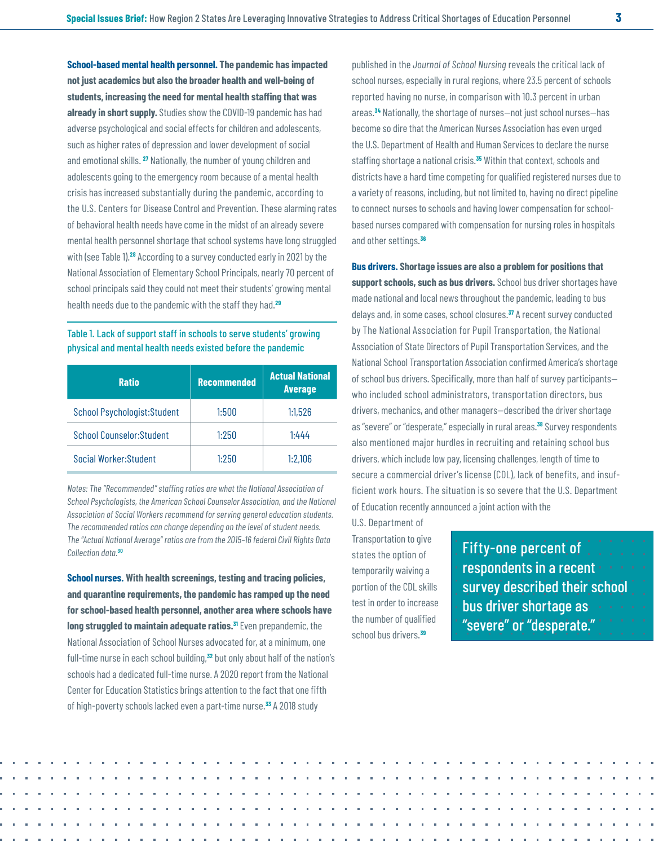<span id="page-2-0"></span>**School-based mental health personnel. The pandemic has impacted not just academics but also the broader health and well-being of students, increasing the need for mental health staffing that was already in short supply.** Studies show the COVID-19 pandemic has had adverse psychological and social effects for children and adolescents, such as higher rates of depression and lower development of social and emotional skills. **[27](#page-13-0)** Nationally, the number of young children and adolescents going to the emergency room because of a mental health crisis has increased substantially during the pandemic, according to the U.S. Centers for Disease Control and Prevention. These alarming rates of behavioral health needs have come in the midst of an already severe mental health personnel shortage that school systems have long struggled with (see Table 1).**[28](#page-13-0)** According to a survey conducted early in 2021 by the National Association of Elementary School Principals, nearly 70 percent of school principals said they could not meet their students' growing mental health needs due to the pandemic with the staff they had.**[29](#page-13-0)**

#### Table 1. Lack of support staff in schools to serve students' growing physical and mental health needs existed before the pandemic

| <b>Ratio</b>                        | <b>Recommended</b> | <b>Actual National</b><br><b>Average</b> |
|-------------------------------------|--------------------|------------------------------------------|
| <b>School Psychologist: Student</b> | 1:500              | 1:1.526                                  |
| <b>School Counselor: Student</b>    | 1:250              | 1.444                                    |
| Social Worker: Student              | 1:250              | 1:2,106                                  |

*Notes: The "Recommended" staffing ratios are what the National Association of School Psychologists, the American School Counselor Association, and the National Association of Social Workers recommend for serving general education students. The recommended ratios can change depending on the level of student needs. The "Actual National Average" ratios are from the 2015–16 federal Civil Rights Data Collection data.***[30](#page-13-0)**

**School nurses. With health screenings, testing and tracing policies, and quarantine requirements, the pandemic has ramped up the need for school-based health personnel, another area where schools have long struggled to maintain adequate ratios[.31](#page-14-0)** Even prepandemic, the National Association of School Nurses advocated for, at a minimum, one full-time nurse in each school building,**[32](#page-14-0)** but only about half of the nation's schools had a dedicated full-time nurse. A 2020 report from the National Center for Education Statistics brings attention to the fact that one fifth of high-poverty schools lacked even a part-time nurse.**[33](#page-14-0)** A 2018 study

published in the *Journal of School Nursing* reveals the critical lack of school nurses, especially in rural regions, where 23.5 percent of schools reported having no nurse, in comparison with 10.3 percent in urban areas.**[34](#page-14-0)** Nationally, the shortage of nurses—not just school nurses—has become so dire that the American Nurses Association has even urged the U.S. Department of Health and Human Services to declare the nurse staffing shortage a national crisis.**[35](#page-14-0)** Within that context, schools and districts have a hard time competing for qualified registered nurses due to a variety of reasons, including, but not limited to, having no direct pipeline to connect nurses to schools and having lower compensation for schoolbased nurses compared with compensation for nursing roles in hospitals and other settings.**[36](#page-14-0)**

**Bus drivers. Shortage issues are also a problem for positions that support schools, such as bus drivers.** School bus driver shortages have made national and local news throughout the pandemic, leading to bus delays and, in some cases, school closures.**[37](#page-14-0)** A recent survey conducted by The National Association for Pupil Transportation, the National Association of State Directors of Pupil Transportation Services, and the National School Transportation Association confirmed America's shortage of school bus drivers. Specifically, more than half of survey participants who included school administrators, transportation directors, bus drivers, mechanics, and other managers—described the driver shortage as "severe" or "desperate," especially in rural areas.**[38](#page-14-0)** Survey respondents also mentioned major hurdles in recruiting and retaining school bus drivers, which include low pay, licensing challenges, length of time to secure a commercial driver's license (CDL), lack of benefits, and insufficient work hours. The situation is so severe that the U.S. Department of Education recently announced a joint action with the

U.S. Department of Transportation to give states the option of temporarily waiving a portion of the CDL skills test in order to increase the number of qualified school bus drivers.**[39](#page-14-0)**

Fifty-one percent of respondents in a recent survey described their school bus driver shortage as "severe" or "desperate."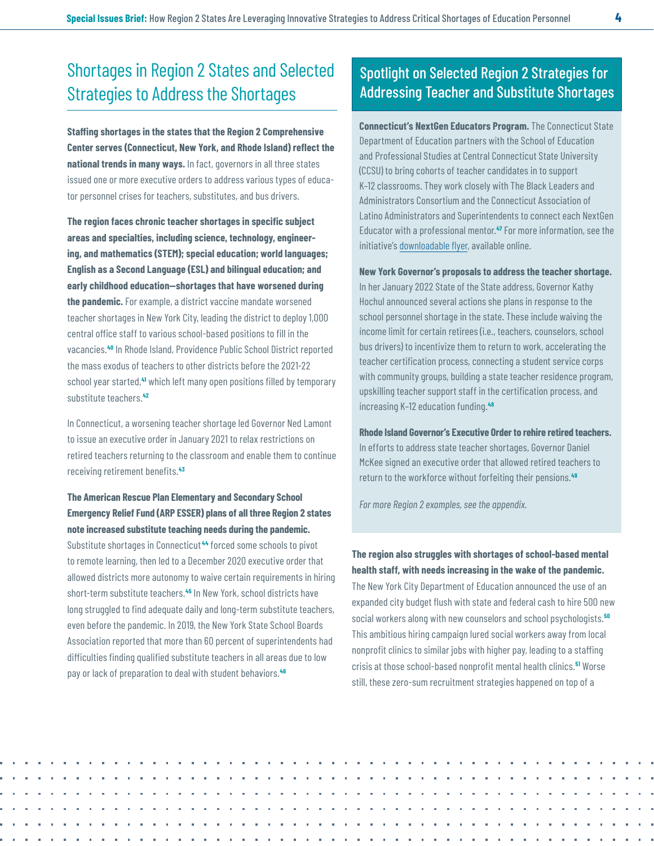# <span id="page-3-0"></span>Shortages in Region 2 States and Selected Strategies to Address the Shortages

**Staffing shortages in the states that the Region 2 Comprehensive Center serves (Connecticut, New York, and Rhode Island) reflect the national trends in many ways.** In fact, governors in all three states issued one or more executive orders to address various types of educator personnel crises for teachers, substitutes, and bus drivers.

**The region faces chronic teacher shortages in specific subject areas and specialties, including science, technology, engineering, and mathematics (STEM); special education; world languages; English as a Second Language (ESL) and bilingual education; and early childhood education—shortages that have worsened during the pandemic.** For example, a district vaccine mandate worsened teacher shortages in New York City, leading the district to deploy 1,000 central office staff to various school-based positions to fill in the vacancies.**[40](#page-14-0)** In Rhode Island, Providence Public School District reported the mass exodus of teachers to other districts before the 2021-22 school year started,**[41](#page-14-0)** which left many open positions filled by temporary substitute teachers.**[42](#page-14-0)**

In Connecticut, a worsening teacher shortage led Governor Ned Lamont to issue an executive order in January 2021 to relax restrictions on retired teachers returning to the classroom and enable them to continue receiving retirement benefits.**[43](#page-14-0)**

## **The American Rescue Plan Elementary and Secondary School Emergency Relief Fund (ARP ESSER) plans of all three Region 2 states note increased substitute teaching needs during the pandemic.**

Substitute shortages in Connecticut **[44](#page-14-0)** forced some schools to pivot to remote learning, then led to a December 2020 executive order that allowed districts more autonomy to waive certain requirements in hiring short-term substitute teachers.**[45](#page-14-0)** In New York, school districts have long struggled to find adequate daily and long-term substitute teachers, even before the pandemic. In 2019, the New York State School Boards Association reported that more than 60 percent of superintendents had difficulties finding qualified substitute teachers in all areas due to low pay or lack of preparation to deal with student behaviors.**[46](#page-15-0)**

## Spotlight on Selected Region 2 Strategies for Addressing Teacher and Substitute Shortages

**Connecticut's NextGen Educators Program.** The Connecticut State Department of Education partners with the School of Education and Professional Studies at Central Connecticut State University (CCSU) to bring cohorts of teacher candidates in to support K–12 classrooms. They work closely with The Black Leaders and Administrators Consortium and the Connecticut Association of Latino Administrators and Superintendents to connect each NextGen Educator with a professional mentor.**[47](#page-15-0)** For more information, see the initiative's [downloadable flyer](https://portal.ct.gov/-/media/SDE/Digest/2020-21/CCSU-NextGen-EducatorsFINAL.pdf), available online.

**New York Governor's proposals to address the teacher shortage.** 

In her January 2022 State of the State address, Governor Kathy Hochul announced several actions she plans in response to the school personnel shortage in the state. These include waiving the income limit for certain retirees (i.e., teachers, counselors, school bus drivers) to incentivize them to return to work, accelerating the teacher certification process, connecting a student service corps with community groups, building a state teacher residence program, upskilling teacher support staff in the certification process, and increasing K–12 education funding.**[48](#page-15-0)**

**Rhode Island Governor's Executive Order to rehire retired teachers.** In efforts to address state teacher shortages, Governor Daniel McKee signed an executive order that allowed retired teachers to return to the workforce without forfeiting their pensions.**[49](#page-15-0)**

*For more Region 2 examples, see the appendix.* 

**The region also struggles with shortages of school-based mental health staff, with needs increasing in the wake of the pandemic.**  The New York City Department of Education announced the use of an expanded city budget flush with state and federal cash to hire 500 new social workers along with new counselors and school psychologists.**[50](#page-15-0)** This ambitious hiring campaign lured social workers away from local nonprofit clinics to similar jobs with higher pay, leading to a staffing crisis at those school-based nonprofit mental health clinics.**[51](#page-15-0)** Worse still, these zero-sum recruitment strategies happened on top of a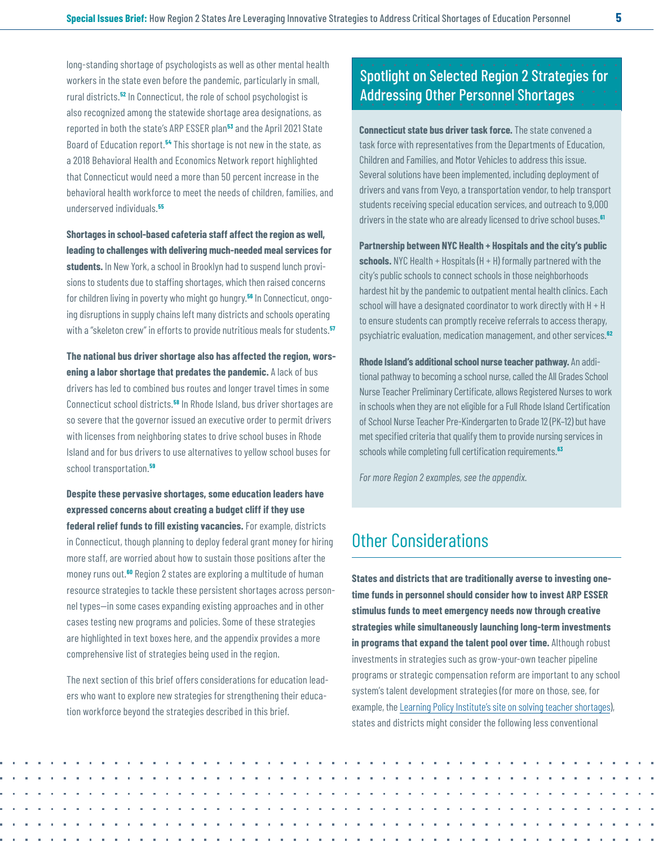<span id="page-4-0"></span>long-standing shortage of psychologists as well as other mental health workers in the state even before the pandemic, particularly in small, rural districts.**[52](#page-15-0)** In Connecticut, the role of school psychologist is also recognized among the statewide shortage area designations, as reported in both the state's ARP ESSER plan**[53](#page-15-0)** and the April 2021 State Board of Education report.**[54](#page-15-0)** This shortage is not new in the state, as a 2018 Behavioral Health and Economics Network report highlighted that Connecticut would need a more than 50 percent increase in the behavioral health workforce to meet the needs of children, families, and underserved individuals.**[55](#page-15-0)**

**Shortages in school-based cafeteria staff affect the region as well, leading to challenges with delivering much-needed meal services for students.** In New York, a school in Brooklyn had to suspend lunch provisions to students due to staffing shortages, which then raised concerns for children living in poverty who might go hungry.**[56](#page-15-0)** In Connecticut, ongoing disruptions in supply chains left many districts and schools operating with a "skeleton crew" in efforts to provide nutritious meals for students.**[57](#page-15-0)**

**The national bus driver shortage also has affected the region, worsening a labor shortage that predates the pandemic.** A lack of bus drivers has led to combined bus routes and longer travel times in some Connecticut school districts.**[58](#page-15-0)** In Rhode Island, bus driver shortages are so severe that the governor issued an executive order to permit drivers with licenses from neighboring states to drive school buses in Rhode Island and for bus drivers to use alternatives to yellow school buses for school transportation.**[59](#page-15-0)**

**Despite these pervasive shortages, some education leaders have expressed concerns about creating a budget cliff if they use federal relief funds to fill existing vacancies.** For example, districts in Connecticut, though planning to deploy federal grant money for hiring more staff, are worried about how to sustain those positions after the money runs out.**[60](#page-15-0)** Region 2 states are exploring a multitude of human resource strategies to tackle these persistent shortages across personnel types—in some cases expanding existing approaches and in other cases testing new programs and policies. Some of these strategies are highlighted in text boxes here, and the appendix provides a more comprehensive list of strategies being used in the region.

The next section of this brief offers considerations for education leaders who want to explore new strategies for strengthening their education workforce beyond the strategies described in this brief.

## Spotlight on Selected Region 2 Strategies for Addressing Other Personnel Shortages

**Connecticut state bus driver task force.** The state convened a task force with representatives from the Departments of Education, Children and Families, and Motor Vehicles to address this issue. Several solutions have been implemented, including deployment of drivers and vans from Veyo, a transportation vendor, to help transport students receiving special education services, and outreach to 9,000 drivers in the state who are already licensed to drive school buses.**[61](#page-15-0)**

**Partnership between NYC Health + Hospitals and the city's public schools.** NYC Health + Hospitals (H + H) formally partnered with the city's public schools to connect schools in those neighborhoods hardest hit by the pandemic to outpatient mental health clinics. Each school will have a designated coordinator to work directly with H + H to ensure students can promptly receive referrals to access therapy, psychiatric evaluation, medication management, and other services.**[62](#page-16-0)**

**Rhode Island's additional school nurse teacher pathway.** An additional pathway to becoming a school nurse, called the All Grades School Nurse Teacher Preliminary Certificate, allows Registered Nurses to work in schools when they are not eligible for a Full Rhode Island Certification of School Nurse Teacher Pre-Kindergarten to Grade 12 (PK–12) but have met specified criteria that qualify them to provide nursing services in schools while completing full certification requirements.**[63](#page-16-0)**

*For more Region 2 examples, see the appendix.*

# Other Considerations

**States and districts that are traditionally averse to investing onetime funds in personnel should consider how to invest ARP ESSER stimulus funds to meet emergency needs now through creative strategies while simultaneously launching long-term investments in programs that expand the talent pool over time.** Although robust investments in strategies such as grow-your-own teacher pipeline programs or strategic compensation reform are important to any school system's talent development strategies (for more on those, see, for example, the [Learning Policy Institute's site on solving teacher shortages](https://learningpolicyinstitute.org/blog/teacher-shortage-what-can-states-and-districts-do)), states and districts might consider the following less conventional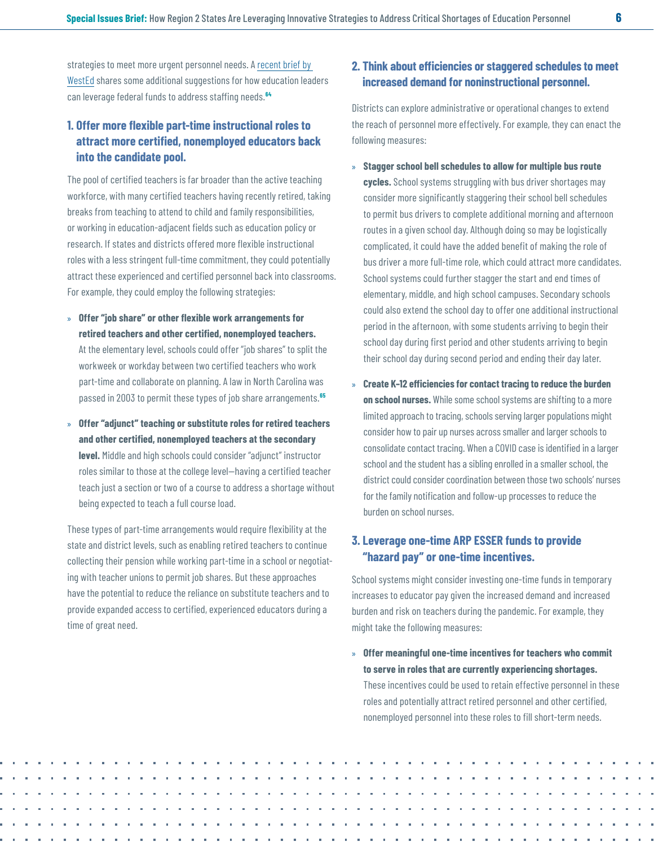<span id="page-5-0"></span>strategies to meet more urgent personnel needs. A [recent brief by](https://www.wested.org/resources/five-strategies-for-using-one-time-federal-funding-on-school-staffing-policy-brief/)  [WestEd](https://www.wested.org/resources/five-strategies-for-using-one-time-federal-funding-on-school-staffing-policy-brief/) shares some additional suggestions for how education leaders can leverage federal funds to address staffing needs.**[64](#page-16-0)**

## **1. Offer more flexible part-time instructional roles to attract more certified, nonemployed educators back into the candidate pool.**

The pool of certified teachers is far broader than the active teaching workforce, with many certified teachers having recently retired, taking breaks from teaching to attend to child and family responsibilities, or working in education-adjacent fields such as education policy or research. If states and districts offered more flexible instructional roles with a less stringent full-time commitment, they could potentially attract these experienced and certified personnel back into classrooms. For example, they could employ the following strategies:

- » **Offer "job share" or other flexible work arrangements for retired teachers and other certified, nonemployed teachers.**  At the elementary level, schools could offer "job shares" to split the workweek or workday between two certified teachers who work part-time and collaborate on planning. A law in North Carolina was passed in 2003 to permit these types of job share arrangements.**[65](#page-16-0)**
- » **Offer "adjunct" teaching or substitute roles for retired teachers and other certified, nonemployed teachers at the secondary level.** Middle and high schools could consider "adjunct" instructor roles similar to those at the college level—having a certified teacher teach just a section or two of a course to address a shortage without being expected to teach a full course load.

These types of part-time arrangements would require flexibility at the state and district levels, such as enabling retired teachers to continue collecting their pension while working part-time in a school or negotiating with teacher unions to permit job shares. But these approaches have the potential to reduce the reliance on substitute teachers and to provide expanded access to certified, experienced educators during a time of great need.

## **2. Think about efficiencies or staggered schedules to meet increased demand for noninstructional personnel.**

Districts can explore administrative or operational changes to extend the reach of personnel more effectively. For example, they can enact the following measures:

- » **Stagger school bell schedules to allow for multiple bus route cycles.** School systems struggling with bus driver shortages may consider more significantly staggering their school bell schedules to permit bus drivers to complete additional morning and afternoon routes in a given school day. Although doing so may be logistically complicated, it could have the added benefit of making the role of bus driver a more full-time role, which could attract more candidates. School systems could further stagger the start and end times of elementary, middle, and high school campuses. Secondary schools could also extend the school day to offer one additional instructional period in the afternoon, with some students arriving to begin their school day during first period and other students arriving to begin their school day during second period and ending their day later.
- » **Create K–12 efficiencies for contact tracing to reduce the burden on school nurses.** While some school systems are shifting to a more limited approach to tracing, schools serving larger populations might consider how to pair up nurses across smaller and larger schools to consolidate contact tracing. When a COVID case is identified in a larger school and the student has a sibling enrolled in a smaller school, the district could consider coordination between those two schools' nurses for the family notification and follow-up processes to reduce the burden on school nurses.

## **3. Leverage one-time ARP ESSER funds to provide "hazard pay" or one-time incentives.**

School systems might consider investing one-time funds in temporary increases to educator pay given the increased demand and increased burden and risk on teachers during the pandemic. For example, they might take the following measures:

» **Offer meaningful one-time incentives for teachers who commit to serve in roles that are currently experiencing shortages.** These incentives could be used to retain effective personnel in these roles and potentially attract retired personnel and other certified, nonemployed personnel into these roles to fill short-term needs.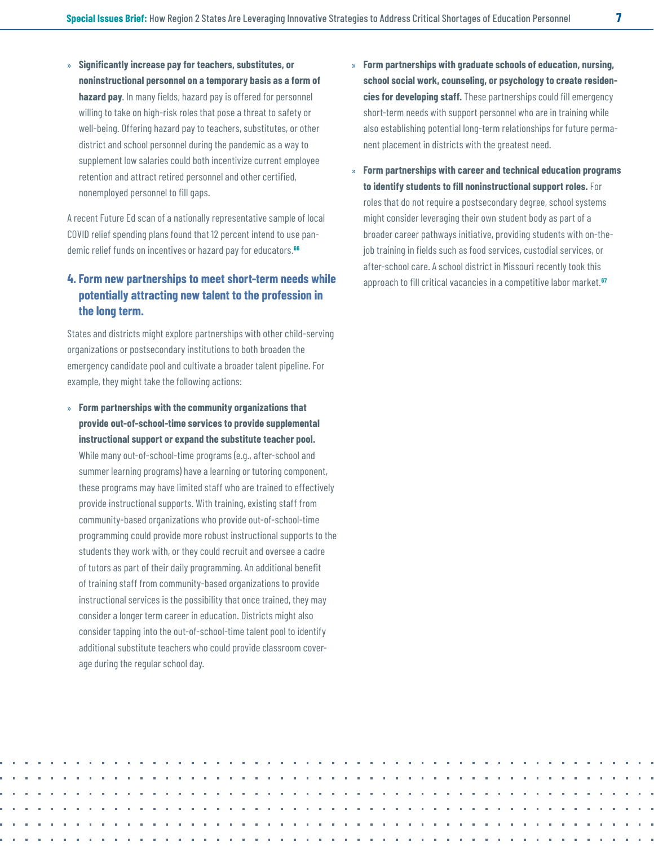<span id="page-6-0"></span>» **Significantly increase pay for teachers, substitutes, or noninstructional personnel on a temporary basis as a form of hazard pay**. In many fields, hazard pay is offered for personnel willing to take on high-risk roles that pose a threat to safety or well-being. Offering hazard pay to teachers, substitutes, or other district and school personnel during the pandemic as a way to supplement low salaries could both incentivize current employee retention and attract retired personnel and other certified, nonemployed personnel to fill gaps.

A recent Future Ed scan of a nationally representative sample of local COVID relief spending plans found that 12 percent intend to use pandemic relief funds on incentives or hazard pay for educators.**[66](#page-16-0)**

## **4. Form new partnerships to meet short-term needs while potentially attracting new talent to the profession in the long term.**

States and districts might explore partnerships with other child-serving organizations or postsecondary institutions to both broaden the emergency candidate pool and cultivate a broader talent pipeline. For example, they might take the following actions:

» **Form partnerships with the community organizations that provide out-of-school-time services to provide supplemental instructional support or expand the substitute teacher pool.**  While many out-of-school-time programs (e.g., after-school and summer learning programs) have a learning or tutoring component, these programs may have limited staff who are trained to effectively provide instructional supports. With training, existing staff from community-based organizations who provide out-of-school-time programming could provide more robust instructional supports to the students they work with, or they could recruit and oversee a cadre of tutors as part of their daily programming. An additional benefit of training staff from community-based organizations to provide instructional services is the possibility that once trained, they may consider a longer term career in education. Districts might also consider tapping into the out-of-school-time talent pool to identify additional substitute teachers who could provide classroom coverage during the regular school day.

- » **Form partnerships with graduate schools of education, nursing, school social work, counseling, or psychology to create residencies for developing staff.** These partnerships could fill emergency short-term needs with support personnel who are in training while also establishing potential long-term relationships for future permanent placement in districts with the greatest need.
- » **Form partnerships with career and technical education programs to identify students to fill noninstructional support roles.** For roles that do not require a postsecondary degree, school systems might consider leveraging their own student body as part of a broader career pathways initiative, providing students with on-thejob training in fields such as food services, custodial services, or after-school care. A school district in Missouri recently took this approach to fill critical vacancies in a competitive labor market.**[67](#page-16-0)**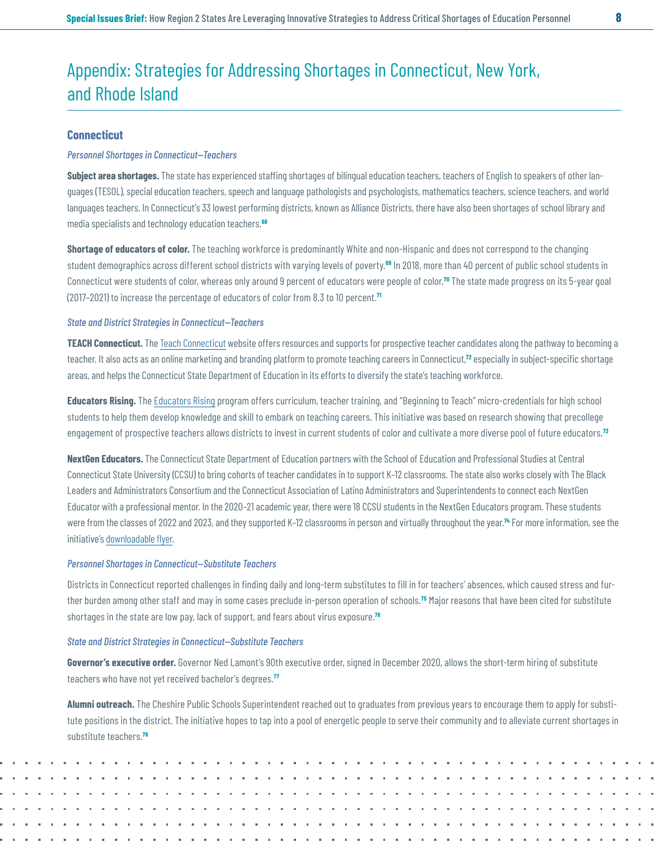# <span id="page-7-0"></span>Appendix: Strategies for Addressing Shortages in Connecticut, New York, and Rhode Island

#### **Connecticut**

#### *Personnel Shortages in Connecticut—Teachers*

**Subject area shortages.** The state has experienced staffing shortages of bilingual education teachers, teachers of English to speakers of other languages (TESOL), special education teachers, speech and language pathologists and psychologists, mathematics teachers, science teachers, and world languages teachers. In Connecticut's 33 lowest performing districts, known as Alliance Districts, there have also been shortages of school library and media specialists and technology education teachers.**[68](#page-16-0)**

**Shortage of educators of color.** The teaching workforce is predominantly White and non-Hispanic and does not correspond to the changing student demographics across different school districts with varying levels of poverty.**[69](#page-16-0)** In 2018, more than 40 percent of public school students in Connecticut were students of color, whereas only around 9 percent of educators were people of color.**[70](#page-16-0)** The state made progress on its 5-year goal (2017–2021) to increase the percentage of educators of color from 8.3 to 10 percent.**[71](#page-16-0)**

#### *State and District Strategies in Connecticut—Teachers*

**TEACH Connecticut.** The [Teach Connecticut](https://connecticut.teach.org/) website offers resources and supports for prospective teacher candidates along the pathway to becoming a teacher. It also acts as an online marketing and branding platform to promote teaching careers in Connecticut,**[72](#page-16-0)** especially in subject-specific shortage areas, and helps the Connecticut State Department of Education in its efforts to diversify the state's teaching workforce.

**Educators Rising.** The [Educators Rising](https://educatorsrising.org/edrisingacademy/) program offers curriculum, teacher training, and "Beginning to Teach" micro-credentials for high school students to help them develop knowledge and skill to embark on teaching careers. This initiative was based on research showing that precollege engagement of prospective teachers allows districts to invest in current students of color and cultivate a more diverse pool of future educators.**[73](#page-16-0)**

**NextGen Educators.** The Connecticut State Department of Education partners with the School of Education and Professional Studies at Central Connecticut State University (CCSU) to bring cohorts of teacher candidates in to support K–12 classrooms. The state also works closely with The Black Leaders and Administrators Consortium and the Connecticut Association of Latino Administrators and Superintendents to connect each NextGen Educator with a professional mentor. In the 2020–21 academic year, there were 18 CCSU students in the NextGen Educators program. These students were from the classes of 2022 and 2023, and they supported K–12 classrooms in person and virtually throughout the year.**[74](#page-16-0)** For more information, see the initiative's [downloadable flyer](https://portal.ct.gov/-/media/SDE/Digest/2020-21/CCSU-NextGen-EducatorsFINAL.pdf).

#### *Personnel Shortages in Connecticut—Substitute Teachers*

Districts in Connecticut reported challenges in finding daily and long-term substitutes to fill in for teachers' absences, which caused stress and further burden among other staff and may in some cases preclude in-person operation of schools.**[75](#page-16-0)** Major reasons that have been cited for substitute shortages in the state are low pay, lack of support, and fears about virus exposure.**[76](#page-16-0)**

#### *State and District Strategies in Connecticut—Substitute Teachers*

**Governor's executive order.** Governor Ned Lamont's 90th executive order, signed in December 2020, allows the short-term hiring of substitute teachers who have not yet received bachelor's degrees.**[77](#page-16-0)**

**Alumni outreach.** The Cheshire Public Schools Superintendent reached out to graduates from previous years to encourage them to apply for substitute positions in the district. The initiative hopes to tap into a pool of energetic people to serve their community and to alleviate current shortages in substitute teachers.**[78](#page-17-0)**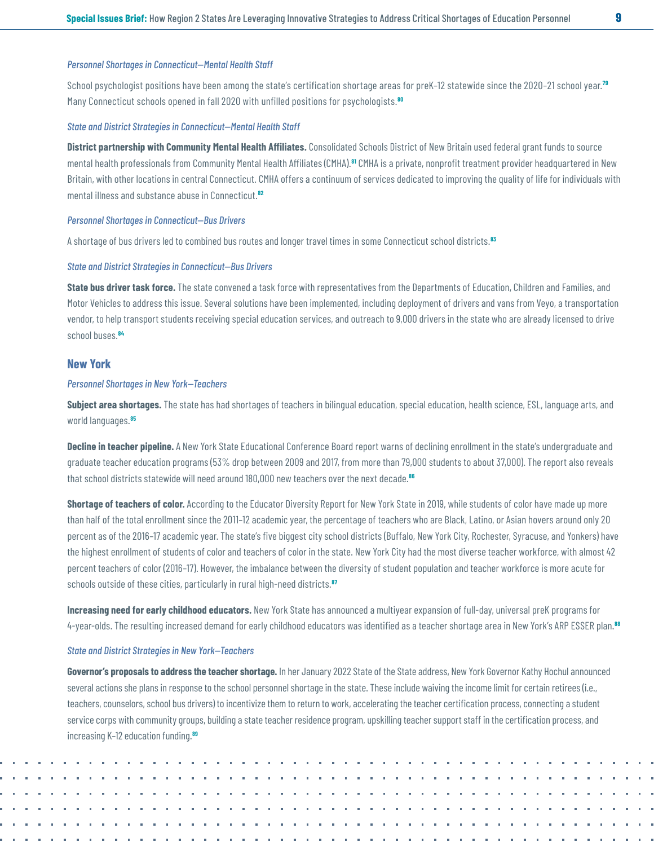#### <span id="page-8-0"></span>*Personnel Shortages in Connecticut—Mental Health Staff*

School psychologist positions have been among the state's certification shortage areas for preK–12 statewide since the 2020–21 school year.**[79](#page-17-0)** Many Connecticut schools opened in fall 2020 with unfilled positions for psychologists.**[80](#page-17-0)**

#### *State and District Strategies in Connecticut—Mental Health Staff*

**District partnership with Community Mental Health Affiliates.** Consolidated Schools District of New Britain used federal grant funds to source mental health professionals from Community Mental Health Affiliates (CMHA).**[81](#page-17-0)** CMHA is a private, nonprofit treatment provider headquartered in New Britain, with other locations in central Connecticut. CMHA offers a continuum of services dedicated to improving the quality of life for individuals with mental illness and substance abuse in Connecticut.**[82](#page-17-0)**

#### *Personnel Shortages in Connecticut—Bus Drivers*

A shortage of bus drivers led to combined bus routes and longer travel times in some Connecticut school districts.**[83](#page-17-0)**

#### *State and District Strategies in Connecticut—Bus Drivers*

**State bus driver task force.** The state convened a task force with representatives from the Departments of Education, Children and Families, and Motor Vehicles to address this issue. Several solutions have been implemented, including deployment of drivers and vans from Veyo, a transportation vendor, to help transport students receiving special education services, and outreach to 9,000 drivers in the state who are already licensed to drive school buses.**[84](#page-17-0)**

#### **New York**

#### *Personnel Shortages in New York—Teachers*

**Subject area shortages.** The state has had shortages of teachers in bilingual education, special education, health science, ESL, language arts, and world languages.**[85](#page-17-0)**

Decline in teacher pipeline. A New York State Educational Conference Board report warns of declining enrollment in the state's undergraduate and graduate teacher education programs (53% drop between 2009 and 2017, from more than 79,000 students to about 37,000). The report also reveals that school districts statewide will need around 180,000 new teachers over the next decade.**[86](#page-17-0)**

**Shortage of teachers of color.** According to the Educator Diversity Report for New York State in 2019, while students of color have made up more than half of the total enrollment since the 2011–12 academic year, the percentage of teachers who are Black, Latino, or Asian hovers around only 20 percent as of the 2016–17 academic year. The state's five biggest city school districts (Buffalo, New York City, Rochester, Syracuse, and Yonkers) have the highest enrollment of students of color and teachers of color in the state. New York City had the most diverse teacher workforce, with almost 42 percent teachers of color (2016–17). However, the imbalance between the diversity of student population and teacher workforce is more acute for schools outside of these cities, particularly in rural high-need districts.**[87](#page-17-0)**

**Increasing need for early childhood educators.** New York State has announced a multiyear expansion of full-day, universal preK programs for 4-year-olds. The resulting increased demand for early childhood educators was identified as a teacher shortage area in New York's ARP ESSER plan.**[88](#page-17-0)**

#### *State and District Strategies in New York—Teachers*

**Governor's proposals to address the teacher shortage.** In her January 2022 State of the State address, New York Governor Kathy Hochul announced several actions she plans in response to the school personnel shortage in the state. These include waiving the income limit for certain retirees (i.e., teachers, counselors, school bus drivers) to incentivize them to return to work, accelerating the teacher certification process, connecting a student service corps with community groups, building a state teacher residence program, upskilling teacher support staff in the certification process, and increasing K–12 education funding.**[89](#page-17-0)**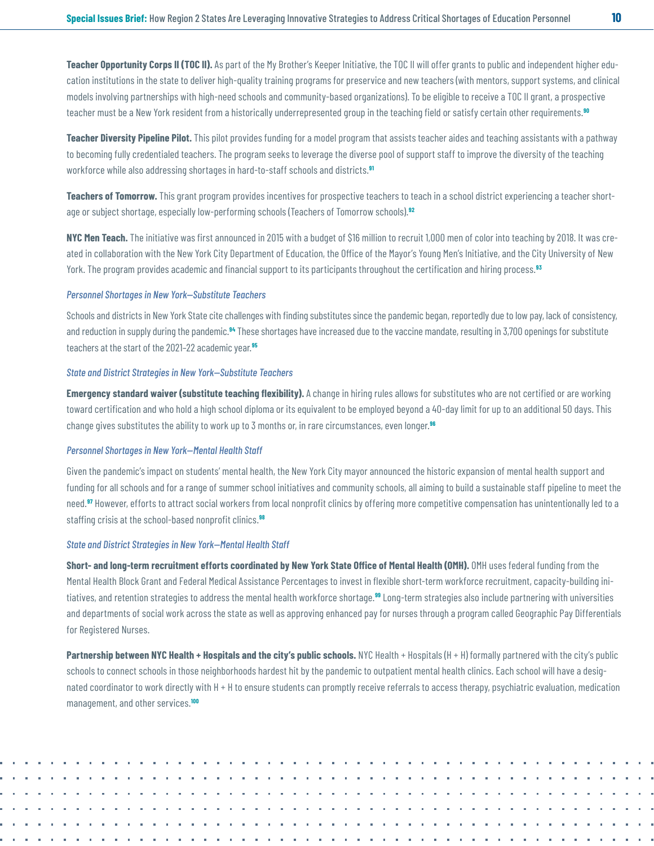<span id="page-9-0"></span>**Teacher Opportunity Corps II (TOC II).** As part of the My Brother's Keeper Initiative, the TOC II will offer grants to public and independent higher education institutions in the state to deliver high-quality training programs for preservice and new teachers (with mentors, support systems, and clinical models involving partnerships with high-need schools and community-based organizations). To be eligible to receive a TOC II grant, a prospective teacher must be a New York resident from a historically underrepresented group in the teaching field or satisfy certain other requirements.**[90](#page-17-0)**

**Teacher Diversity Pipeline Pilot.** This pilot provides funding for a model program that assists teacher aides and teaching assistants with a pathway to becoming fully credentialed teachers. The program seeks to leverage the diverse pool of support staff to improve the diversity of the teaching workforce while also addressing shortages in hard-to-staff schools and districts.**[91](#page-17-0)**

**Teachers of Tomorrow.** This grant program provides incentives for prospective teachers to teach in a school district experiencing a teacher shortage or subject shortage, especially low-performing schools (Teachers of Tomorrow schools).**[92](#page-17-0)**

**NYC Men Teach.** The initiative was first announced in 2015 with a budget of \$16 million to recruit 1,000 men of color into teaching by 2018. It was created in collaboration with the New York City Department of Education, the Office of the Mayor's Young Men's Initiative, and the City University of New York. The program provides academic and financial support to its participants throughout the certification and hiring process.**[93](#page-17-0)**

#### *Personnel Shortages in New York—Substitute Teachers*

Schools and districts in New York State cite challenges with finding substitutes since the pandemic began, reportedly due to low pay, lack of consistency, and reduction in supply during the pandemic.**[94](#page-17-0)** These shortages have increased due to the vaccine mandate, resulting in 3,700 openings for substitute teachers at the start of the 2021–22 academic year.**[95](#page-17-0)**

#### *State and District Strategies in New York—Substitute Teachers*

**Emergency standard waiver (substitute teaching flexibility).** A change in hiring rules allows for substitutes who are not certified or are working toward certification and who hold a high school diploma or its equivalent to be employed beyond a 40-day limit for up to an additional 50 days. This change gives substitutes the ability to work up to 3 months or, in rare circumstances, even longer.**[96](#page-17-0)**

#### *Personnel Shortages in New York—Mental Health Staff*

Given the pandemic's impact on students' mental health, the New York City mayor announced the historic expansion of mental health support and funding for all schools and for a range of summer school initiatives and community schools, all aiming to build a sustainable staff pipeline to meet the need.**[97](#page-18-0)** However, efforts to attract social workers from local nonprofit clinics by offering more competitive compensation has unintentionally led to a staffing crisis at the school-based nonprofit clinics.**[98](#page-18-0)**

#### *State and District Strategies in New York—Mental Health Staff*

**Short- and long-term recruitment efforts coordinated by New York State Office of Mental Health (OMH).** OMH uses federal funding from the Mental Health Block Grant and Federal Medical Assistance Percentages to invest in flexible short-term workforce recruitment, capacity-building initiatives, and retention strategies to address the mental health workforce shortage.**[99](#page-18-0)** Long-term strategies also include partnering with universities and departments of social work across the state as well as approving enhanced pay for nurses through a program called Geographic Pay Differentials for Registered Nurses.

**Partnership between NYC Health + Hospitals and the city's public schools.** NYC Health + Hospitals (H + H) formally partnered with the city's public schools to connect schools in those neighborhoods hardest hit by the pandemic to outpatient mental health clinics. Each school will have a designated coordinator to work directly with H + H to ensure students can promptly receive referrals to access therapy, psychiatric evaluation, medication management, and other services.**[100](#page-18-0)**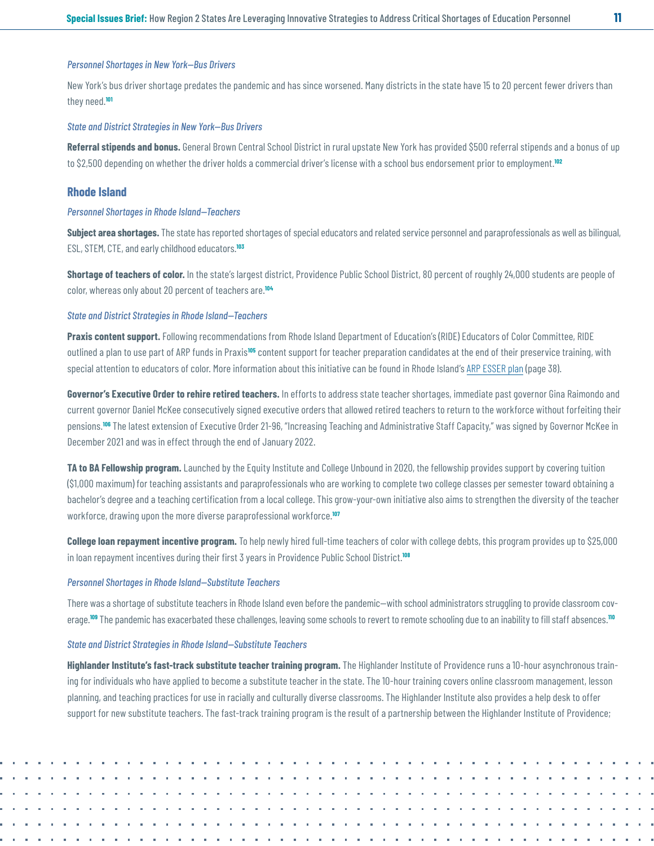#### <span id="page-10-0"></span>*Personnel Shortages in New York—Bus Drivers*

New York's bus driver shortage predates the pandemic and has since worsened. Many districts in the state have 15 to 20 percent fewer drivers than they need.**[101](#page-18-0)**

#### *State and District Strategies in New York—Bus Drivers*

**Referral stipends and bonus.** General Brown Central School District in rural upstate New York has provided \$500 referral stipends and a bonus of up to \$2,500 depending on whether the driver holds a commercial driver's license with a school bus endorsement prior to employment.**[102](#page-18-0)**

#### **Rhode Island**

#### *Personnel Shortages in Rhode Island—Teachers*

**Subject area shortages.** The state has reported shortages of special educators and related service personnel and paraprofessionals as well as bilingual, ESL, STEM, CTE, and early childhood educators.**[103](#page-18-0)**

**Shortage of teachers of color.** In the state's largest district, Providence Public School District, 80 percent of roughly 24,000 students are people of color, whereas only about 20 percent of teachers are.**[104](#page-18-0)**

#### *State and District Strategies in Rhode Island—Teachers*

**Praxis content support.** Following recommendations from Rhode Island Department of Education's (RIDE) Educators of Color Committee, RIDE outlined a plan to use part of ARP funds in Praxis**[105](#page-18-0)** content support for teacher preparation candidates at the end of their preservice training, with special attention to educators of color. More information about this initiative can be found in Rhode Island's [ARP ESSER plan](https://oese.ed.gov/offices/american-rescue-plan/american-rescue-plan-elementary-and-secondary-school-emergency-relief/stateplans/rhode-island-arp-esser-state-plan-final/) (page 38).

**Governor's Executive Order to rehire retired teachers.** In efforts to address state teacher shortages, immediate past governor Gina Raimondo and current governor Daniel McKee consecutively signed executive orders that allowed retired teachers to return to the workforce without forfeiting their pensions.**[106](#page-18-0)** The latest extension of Executive Order 21-96, "Increasing Teaching and Administrative Staff Capacity," was signed by Governor McKee in December 2021 and was in effect through the end of January 2022.

**TA to BA Fellowship program.** Launched by the Equity Institute and College Unbound in 2020, the fellowship provides support by covering tuition (\$1,000 maximum) for teaching assistants and paraprofessionals who are working to complete two college classes per semester toward obtaining a bachelor's degree and a teaching certification from a local college. This grow-your-own initiative also aims to strengthen the diversity of the teacher workforce, drawing upon the more diverse paraprofessional workforce.**[107](#page-18-0)**

**College loan repayment incentive program.** To help newly hired full-time teachers of color with college debts, this program provides up to \$25,000 in loan repayment incentives during their first 3 years in Providence Public School District.**[108](#page-18-0)**

#### *Personnel Shortages in Rhode Island—Substitute Teachers*

There was a shortage of substitute teachers in Rhode Island even before the pandemic—with school administrators struggling to provide classroom coverage.**[109](#page-18-0)** The pandemic has exacerbated these challenges, leaving some schools to revert to remote schooling due to an inability to fill staff absences.**[110](#page-18-0)**

#### *State and District Strategies in Rhode Island—Substitute Teachers*

**Highlander Institute's fast-track substitute teacher training program.** The Highlander Institute of Providence runs a 10-hour asynchronous training for individuals who have applied to become a substitute teacher in the state. The 10-hour training covers online classroom management, lesson planning, and teaching practices for use in racially and culturally diverse classrooms. The Highlander Institute also provides a help desk to offer support for new substitute teachers. The fast-track training program is the result of a partnership between the Highlander Institute of Providence;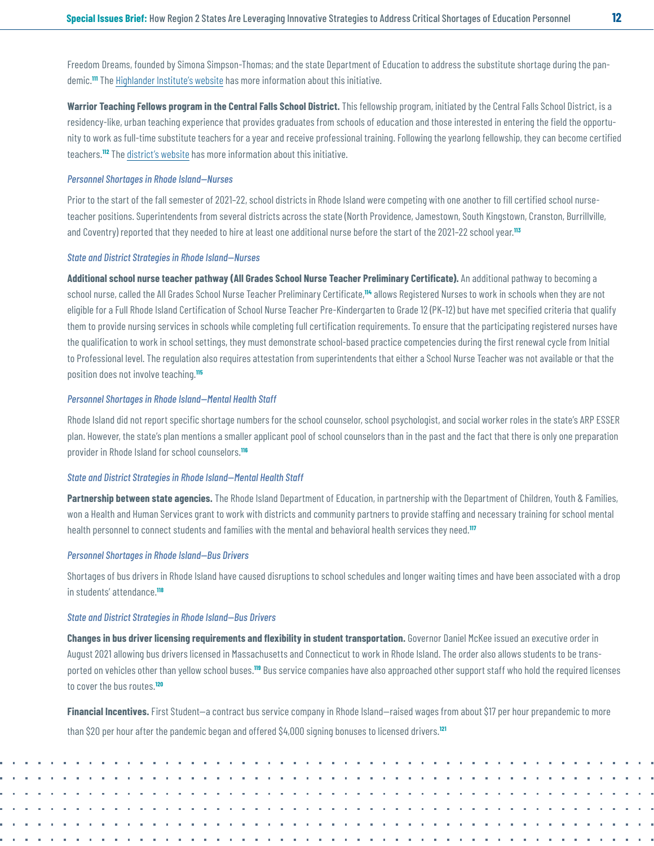<span id="page-11-0"></span>Freedom Dreams, founded by Simona Simpson-Thomas; and the state Department of Education to address the substitute shortage during the pandemic.**[111](#page-18-0)** The [Highlander Institute's website](https://courses.highlanderinstitute.org/) has more information about this initiative.

**Warrior Teaching Fellows program in the Central Falls School District.** This fellowship program, initiated by the Central Falls School District, is a residency-like, urban teaching experience that provides graduates from schools of education and those interested in entering the field the opportunity to work as full-time substitute teachers for a year and receive professional training. Following the yearlong fellowship, they can become certified teachers.**[112](#page-18-0)** The [district's website](https://www.cfschools.net/article/81042) has more information about this initiative.

#### *Personnel Shortages in Rhode Island—Nurses*

Prior to the start of the fall semester of 2021–22, school districts in Rhode Island were competing with one another to fill certified school nurseteacher positions. Superintendents from several districts across the state (North Providence, Jamestown, South Kingstown, Cranston, Burrillville, and Coventry) reported that they needed to hire at least one additional nurse before the start of the 2021–22 school year.**[113](#page-18-0)**

#### *State and District Strategies in Rhode Island—Nurses*

**Additional school nurse teacher pathway (All Grades School Nurse Teacher Preliminary Certificate).** An additional pathway to becoming a school nurse, called the All Grades School Nurse Teacher Preliminary Certificate,**[114](#page-19-0)** allows Registered Nurses to work in schools when they are not eligible for a Full Rhode Island Certification of School Nurse Teacher Pre-Kindergarten to Grade 12 (PK–12) but have met specified criteria that qualify them to provide nursing services in schools while completing full certification requirements. To ensure that the participating registered nurses have the qualification to work in school settings, they must demonstrate school-based practice competencies during the first renewal cycle from Initial to Professional level. The regulation also requires attestation from superintendents that either a School Nurse Teacher was not available or that the position does not involve teaching.**[115](#page-19-0)**

#### *Personnel Shortages in Rhode Island—Mental Health Staff*

Rhode Island did not report specific shortage numbers for the school counselor, school psychologist, and social worker roles in the state's ARP ESSER plan. However, the state's plan mentions a smaller applicant pool of school counselors than in the past and the fact that there is only one preparation provider in Rhode Island for school counselors.**[116](#page-19-0)**

#### *State and District Strategies in Rhode Island—Mental Health Staff*

**Partnership between state agencies.** The Rhode Island Department of Education, in partnership with the Department of Children, Youth & Families, won a Health and Human Services grant to work with districts and community partners to provide staffing and necessary training for school mental health personnel to connect students and families with the mental and behavioral health services they need.**[117](#page-19-0)**

#### *Personnel Shortages in Rhode Island—Bus Drivers*

Shortages of bus drivers in Rhode Island have caused disruptions to school schedules and longer waiting times and have been associated with a drop in students' attendance.**[118](#page-19-0)**

#### *State and District Strategies in Rhode Island—Bus Drivers*

**Changes in bus driver licensing requirements and flexibility in student transportation.** Governor Daniel McKee issued an executive order in August 2021 allowing bus drivers licensed in Massachusetts and Connecticut to work in Rhode Island. The order also allows students to be transported on vehicles other than yellow school buses.**[119](#page-19-0)** Bus service companies have also approached other support staff who hold the required licenses to cover the bus routes.**[120](#page-19-0)**

**Financial Incentives.** First Student—a contract bus service company in Rhode Island—raised wages from about \$17 per hour prepandemic to more than \$20 per hour after the pandemic began and offered \$4,000 signing bonuses to licensed drivers.**[121](#page-19-0)**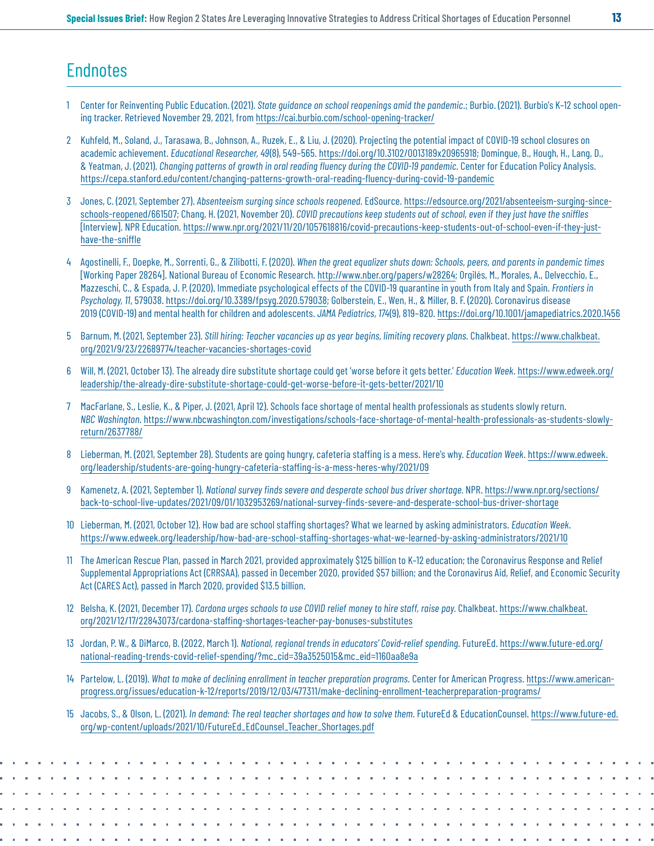# <span id="page-12-0"></span>**Endnotes**

- [1](#page-0-0) Center for Reinventing Public Education. (2021). *State guidance on school reopenings amid the pandemic*.; Burbio. (2021). Burbio's K–12 school opening tracker. Retrieved November 29, 2021, from <https://cai.burbio.com/school-opening-tracker/>
- [2](#page-0-0) Kuhfeld, M., Soland, J., Tarasawa, B., Johnson, A., Ruzek, E., & Liu, J. (2020). Projecting the potential impact of COVID-19 school closures on academic achievement. *Educational Researcher, 49*(8), 549–565. [https://doi.org/10.3102/0013189x20965918;](https://doi.org/10.3102/0013189x20965918) Domingue, B., Hough, H., Lang, D., & Yeatman, J. (2021). *Changing patterns of growth in oral reading fluency during the COVID-19 pandemic.* Center for Education Policy Analysis. <https://cepa.stanford.edu/content/changing-patterns-growth-oral-reading-fluency-during-covid-19-pandemic>
- [3](#page-0-0) Jones, C. (2021, September 27). *Absenteeism surging since schools reopened*. EdSource. [https://edsource.org/2021/absenteeism-surging-since](https://edsource.org/2021/absenteeism-surging-since-schools-reopened/661507)[schools-reopened/661507](https://edsource.org/2021/absenteeism-surging-since-schools-reopened/661507); Chang, H. (2021, November 20). *COVID precautions keep students out of school, even if they just have the sniffles*  [Interview]. NPR Education. [https://www.npr.org/2021/11/20/1057618816/covid-precautions-keep-students-out-of-school-even-if-they-just](https://www.npr.org/2021/11/20/1057618816/covid-precautions-keep-students-out-of-school-even-if-they-just-have-the-sniffle)[have-the-sniffle](https://www.npr.org/2021/11/20/1057618816/covid-precautions-keep-students-out-of-school-even-if-they-just-have-the-sniffle)
- [4](#page-0-0) Agostinelli, F., Doepke, M., Sorrenti, G., & Zilibotti, F. (2020). *When the great equalizer shuts down: Schools, peers, and parents in pandemic times* [Working Paper 28264]. National Bureau of Economic Research.<http://www.nber.org/papers/w28264>; Orgilés, M., Morales, A., Delvecchio, E., Mazzeschi, C., & Espada, J. P. (2020). Immediate psychological effects of the COVID-19 quarantine in youth from Italy and Spain. *Frontiers in Psychology, 11*, 579038.<https://doi.org/10.3389/fpsyg.2020.579038>; Golberstein, E., Wen, H., & Miller, B. F. (2020). Coronavirus disease 2019 (COVID-19) and mental health for children and adolescents. *JAMA Pediatrics, 174*(9), 819–820. [https://doi.org/10.1001/jamapediatrics.2020.1456](https://jamanetwork.com/journals/jamapediatrics/fullarticle/2764730)
- [5](#page-0-0) Barnum, M. (2021, September 23). *Still hiring: Teacher vacancies up as year begins, limiting recovery plans.* Chalkbeat. [https://www.chalkbeat.](https://www.chalkbeat.org/2021/9/23/22689774/teacher-vacancies-shortages-covid) [org/2021/9/23/22689774/teacher-vacancies-shortages-covid](https://www.chalkbeat.org/2021/9/23/22689774/teacher-vacancies-shortages-covid)
- [6](#page-0-0) Will, M. (2021, October 13). The already dire substitute shortage could get 'worse before it gets better.' *Education Week*. [https://www.edweek.org/](https://www.edweek.org/leadership/the-already-dire-substitute-shortage-could-get-worse-before-it-gets-better/2021/10) [leadership/the-already-dire-substitute-shortage-could-get-worse-before-it-gets-better/2021/10](https://www.edweek.org/leadership/the-already-dire-substitute-shortage-could-get-worse-before-it-gets-better/2021/10)
- [7](#page-0-0) MacFarlane, S., Leslie, K., & Piper, J. (2021, April 12). Schools face shortage of mental health professionals as students slowly return. *NBC Washington*. [https://www.nbcwashington.com/investigations/schools-face-shortage-of-mental-health-professionals-as-students-slowly](https://www.nbcwashington.com/investigations/schools-face-shortage-of-mental-health-professionals-as-students-slowly-return/2637788/)[return/2637788/](https://www.nbcwashington.com/investigations/schools-face-shortage-of-mental-health-professionals-as-students-slowly-return/2637788/)
- [8](#page-0-0) Lieberman, M. (2021, September 28). Students are going hungry, cafeteria staffing is a mess. Here's why. *Education Week*. [https://www.edweek.](https://www.edweek.org/leadership/students-are-going-hungry-cafeteria-staffing-is-a-mess-heres-why/2021/09) [org/leadership/students-are-going-hungry-cafeteria-staffing-is-a-mess-heres-why/2021/09](https://www.edweek.org/leadership/students-are-going-hungry-cafeteria-staffing-is-a-mess-heres-why/2021/09)
- [9](#page-0-0) Kamenetz, A. (2021, September 1). *National survey finds severe and desperate school bus driver shortage.* NPR. [https://www.npr.org/sections/](https://www.npr.org/sections/back-to-school-live-updates/2021/09/01/1032953269/national-survey-finds-severe-and-desperate-school-bus-driver-shortage) [back-to-school-live-updates/2021/09/01/1032953269/national-survey-finds-severe-and-desperate-school-bus-driver-shortage](https://www.npr.org/sections/back-to-school-live-updates/2021/09/01/1032953269/national-survey-finds-severe-and-desperate-school-bus-driver-shortage)
- [10](#page-1-0) Lieberman, M. (2021, October 12). How bad are school staffing shortages? What we learned by asking administrators. *Education Week*. <https://www.edweek.org/leadership/how-bad-are-school-staffing-shortages-what-we-learned-by-asking-administrators/2021/10>
- [11](#page-1-0) The American Rescue Plan, passed in March 2021, provided approximately \$125 billion to K–12 education; the Coronavirus Response and Relief Supplemental Appropriations Act (CRRSAA), passed in December 2020, provided \$57 billion; and the Coronavirus Aid, Relief, and Economic Security Act (CARES Act), passed in March 2020, provided \$13.5 billion.
- [12](#page-1-0) Belsha, K. (2021, December 17). *Cardona urges schools to use COVID relief money to hire staff, raise pay.* Chalkbeat. [https://www.chalkbeat.](https://www.chalkbeat.org/2021/12/17/22843073/cardona-staffing-shortages-teacher-pay-bonuses-substitutes) [org/2021/12/17/22843073/cardona-staffing-shortages-teacher-pay-bonuses-substitutes](https://www.chalkbeat.org/2021/12/17/22843073/cardona-staffing-shortages-teacher-pay-bonuses-substitutes)
- [13](#page-1-0) Jordan, P. W., & DiMarco, B. (2022, March 1). *National, regional trends in educators' Covid-relief spending.* FutureEd. [https://www.future-ed.org/](https://www.future-ed.org/national-reading-trends-covid-relief-spending/?mc_cid=39a3525015&mc_eid=1160aa8e9a) [national-reading-trends-covid-relief-spending/?mc\\_cid=39a3525015&mc\\_eid=1160aa8e9a](https://www.future-ed.org/national-reading-trends-covid-relief-spending/?mc_cid=39a3525015&mc_eid=1160aa8e9a)
- [14](#page-1-0) Partelow, L. (2019). *What to make of declining enrollment in teacher preparation programs.* Center for American Progress. [https://www.american](https://www.americanprogress.org/issues/education-k-12/reports/2019/12/03/477311/make-declining-enrollment-teacherpreparation-programs)[progress.org/issues/education-k-12/reports/2019/12/03/477311/make-declining-enrollment-teacherpreparation-programs](https://www.americanprogress.org/issues/education-k-12/reports/2019/12/03/477311/make-declining-enrollment-teacherpreparation-programs)/
- [15](#page-1-0) Jacobs, S., & Olson, L. (2021). *In demand: The real teacher shortages and how to solve them.* FutureEd & EducationCounsel. [https://www.future-ed.](https://www.future-ed.org/wp-content/uploads/2021/10/FutureEd_EdCounsel_Teacher_Shortages.pdf) [org/wp-content/uploads/2021/10/FutureEd\\_EdCounsel\\_Teacher\\_Shortages.pdf](https://www.future-ed.org/wp-content/uploads/2021/10/FutureEd_EdCounsel_Teacher_Shortages.pdf)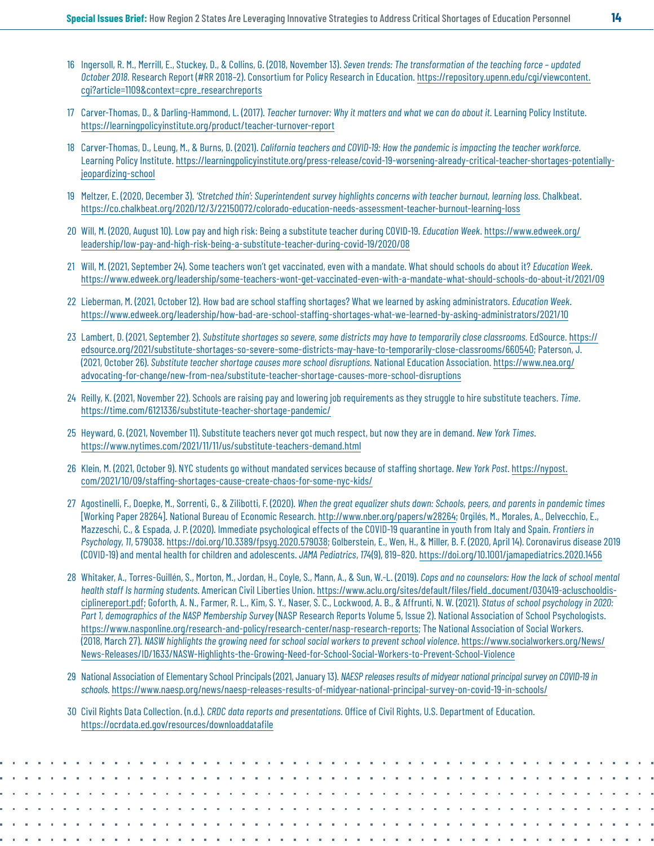- <span id="page-13-0"></span>[16](#page-1-0) Ingersoll, R. M., Merrill, E., Stuckey, D., & Collins, G. (2018, November 13). *Seven trends: The transformation of the teaching force – updated October 2018.* Research Report (#RR 2018–2). Consortium for Policy Research in Education. [https://repository.upenn.edu/cgi/viewcontent.](https://repository.upenn.edu/cgi/viewcontent.cgi?article=1109&context=cpre_researchreports) [cgi?article=1109&context=cpre\\_researchreports](https://repository.upenn.edu/cgi/viewcontent.cgi?article=1109&context=cpre_researchreports)
- [17](#page-1-0) Carver-Thomas, D., & Darling-Hammond, L. (2017). *Teacher turnover: Why it matters and what we can do about it.* Learning Policy Institute. <https://learningpolicyinstitute.org/product/teacher-turnover-report>
- [18](#page-1-0) Carver-Thomas, D., Leung, M., & Burns, D. (2021). *California teachers and COVID-19: How the pandemic is impacting the teacher workforce.*  Learning Policy Institute. [https://learningpolicyinstitute.org/press-release/covid-19-worsening-already-critical-teacher-shortages-potentially](https://learningpolicyinstitute.org/press-release/covid-19-worsening-already-critical-teacher-shortages-potentially-jeopardizing-school)[jeopardizing-school](https://learningpolicyinstitute.org/press-release/covid-19-worsening-already-critical-teacher-shortages-potentially-jeopardizing-school)
- [19](#page-1-0) Meltzer, E. (2020, December 3). *'Stretched thin': Superintendent survey highlights concerns with teacher burnout, learning loss.* Chalkbeat. <https://co.chalkbeat.org/2020/12/3/22150072/colorado-education-needs-assessment-teacher-burnout-learning-los>s
- [20](#page-1-0) Will, M. (2020, August 10). Low pay and high risk: Being a substitute teacher during COVID-19. *Education Week*. [https://www.edweek.org/](https://www.edweek.org/leadership/low-pay-and-high-risk-being-a-substitute-teacher-during-covid-19/2020/08) [leadership/low-pay-and-high-risk-being-a-substitute-teacher-during-covid-19/2020/08](https://www.edweek.org/leadership/low-pay-and-high-risk-being-a-substitute-teacher-during-covid-19/2020/08)
- [21](#page-1-0) Will, M. (2021, September 24). Some teachers won't get vaccinated, even with a mandate. What should schools do about it? *Education Week*. <https://www.edweek.org/leadership/some-teachers-wont-get-vaccinated-even-with-a-mandate-what-should-schools-do-about-it/2021/09>
- [22](#page-1-0) Lieberman, M. (2021, October 12). How bad are school staffing shortages? What we learned by asking administrators. *Education Week*. <https://www.edweek.org/leadership/how-bad-are-school-staffing-shortages-what-we-learned-by-asking-administrators/2021/10>
- [23](#page-1-0) Lambert, D. (2021, September 2). *Substitute shortages so severe, some districts may have to temporarily close classrooms.* EdSource. [https://](https://edsource.org/2021/substitute-shortages-so-severe-some-districts-may-have-to-temporarily-close-classrooms/660540) [edsource.org/2021/substitute-shortages-so-severe-some-districts-may-have-to-temporarily-close-classrooms/660540;](https://edsource.org/2021/substitute-shortages-so-severe-some-districts-may-have-to-temporarily-close-classrooms/660540) Paterson, J. (2021, October 26). *Substitute teacher shortage causes more school disruptions.* National Education Association. [https://www.nea.org/](https://www.nea.org/advocating-for-change/new-from-nea/substitute-teacher-shortage-causes-more-school-disruptions) [advocating-for-change/new-from-nea/substitute-teacher-shortage-causes-more-school-disruptions](https://www.nea.org/advocating-for-change/new-from-nea/substitute-teacher-shortage-causes-more-school-disruptions)
- [24](#page-1-0) Reilly, K. (2021, November 22). Schools are raising pay and lowering job requirements as they struggle to hire substitute teachers. *Time*. <https://time.com/6121336/substitute-teacher-shortage-pandemic>/
- [25](#page-1-0) Heyward, G. (2021, November 11). Substitute teachers never got much respect, but now they are in demand. *New York Times*. <https://www.nytimes.com/2021/11/11/us/substitute-teachers-demand.html>
- [26](#page-1-0) Klein, M. (2021, October 9). NYC students go without mandated services because of staffing shortage. *New York Post*. [https://nypost.](https://nypost.com/2021/10/09/staffing-shortages-cause-create-chaos-for-some-nyc-kids/) [com/2021/10/09/staffing-shortages-cause-create-chaos-for-some-nyc-kids/](https://nypost.com/2021/10/09/staffing-shortages-cause-create-chaos-for-some-nyc-kids/)
- [27](#page-2-0) Agostinelli, F., Doepke, M., Sorrenti, G., & Zilibotti, F. (2020). *When the great equalizer shuts down: Schools, peers, and parents in pandemic times* [Working Paper 28264]. National Bureau of Economic Research. [http://www.nber.org/papers/w28264;](http://www.nber.org/papers/w28264) Orgilés, M., Morales, A., Delvecchio, E., Mazzeschi, C., & Espada, J. P. (2020). Immediate psychological effects of the COVID-19 quarantine in youth from Italy and Spain. *Frontiers in Psychology*, *11*, 579038.<https://doi.org/10.3389/fpsyg.2020.579038>; Golberstein, E., Wen, H., & Miller, B. F. (2020, April 14). Coronavirus disease 2019 (COVID-19) and mental health for children and adolescents. *JAMA Pediatrics*, *174*(9), 819–820. <https://doi.org/10.1001/jamapediatrics.2020.1456>
- [28](#page-2-0) Whitaker, A., Torres-Guillén, S., Morton, M., Jordan, H., Coyle, S., Mann, A., & Sun, W.-L. (2019). *Cops and no counselors: How the lack of school mental health staff Is harming students.* American Civil Liberties Union. [https://www.aclu.org/sites/default/files/field\\_document/030419-acluschooldis](https://www.aclu.org/sites/default/files/field_document/030419-acluschooldisciplinereport.pdf)[ciplinereport.pdf](https://www.aclu.org/sites/default/files/field_document/030419-acluschooldisciplinereport.pdf); Goforth, A. N., Farmer, R. L., Kim, S. Y., Naser, S. C., Lockwood, A. B., & Affrunti, N. W. (2021). *Status of school psychology in 2020: Part 1, demographics of the NASP Membership Survey* (NASP Research Reports Volume 5, Issue 2). National Association of School Psychologists. <https://www.nasponline.org/research-and-policy/research-center/nasp-research-reports>; The National Association of Social Workers. (2018, March 27). *NASW highlights the growing need for school social workers to prevent school violence*. [https://www.socialworkers.org/News/](https://www.socialworkers.org/News/News-Releases/ID/1633/NASW-Highlights-the-Growing-Need-for-School-Social-Workers-to-Prevent-School-Violence) [News-Releases/ID/1633/NASW-Highlights-the-Growing-Need-for-School-Social-Workers-to-Prevent-School-Violence](https://www.socialworkers.org/News/News-Releases/ID/1633/NASW-Highlights-the-Growing-Need-for-School-Social-Workers-to-Prevent-School-Violence)
- [29](#page-2-0) National Association of Elementary School Principals (2021, January 13). *NAESP releases results of midyear national principal survey on COVID-19 in schools.* <https://www.naesp.org/news/naesp-releases-results-of-midyear-national-principal-survey-on-covid-19-in-schools/>
- [30](#page-2-0) Civil Rights Data Collection. (n.d.). *CRDC data reports and presentations.* Office of Civil Rights, U.S. Department of Education. <https://ocrdata.ed.gov/resources/downloaddatafile>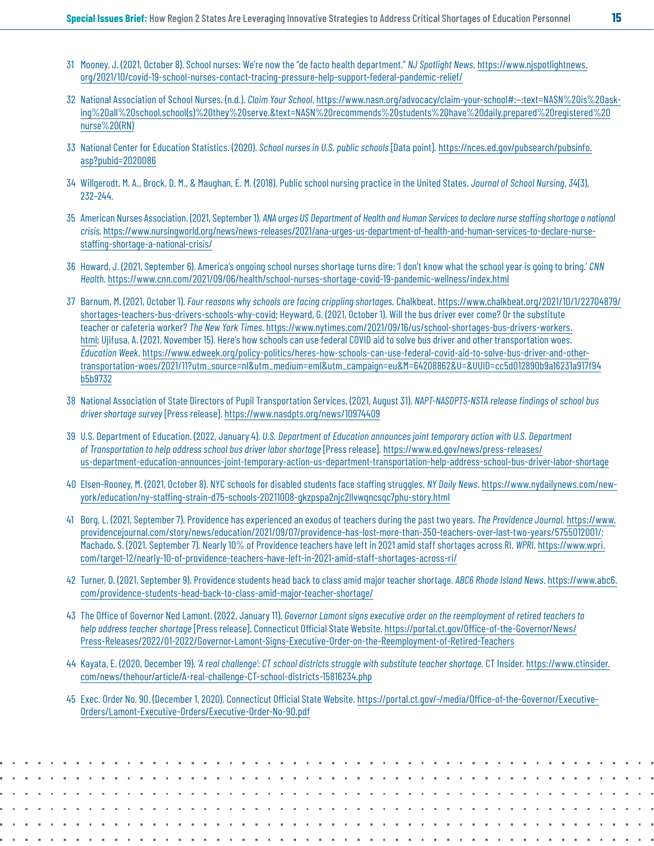- <span id="page-14-0"></span>[31](#page-2-0) Mooney, J. (2021, October 8). School nurses: We're now the "de facto health department." *NJ Spotlight News*. [https://www.njspotlightnews.](https://www.njspotlightnews.org/2021/10/covid-19-school-nurses-contact-tracing-pressure-help-support-federal-pandemic-relief/) [org/2021/10/covid-19-school-nurses-contact-tracing-pressure-help-support-federal-pandemic-relief/](https://www.njspotlightnews.org/2021/10/covid-19-school-nurses-contact-tracing-pressure-help-support-federal-pandemic-relief/)
- [32](#page-2-0) National Association of School Nurses. (n.d.). *Claim Your School*. [https://www.nasn.org/advocacy/claim-your-school#:~:text=NASN%20is%20ask](https://www.nasn.org/advocacy/claim-your-school#:~:text=NASN%20is%20asking%20all%20school,school(s)%20they%20serve.&text=NASN%20recommends%20students%20have%20daily,prepared%20registered%20nurse%20(RN))[ing%20all%20school,school\(s\)%20they%20serve.&text=NASN%20recommends%20students%20have%20daily,prepared%20registered%20](https://www.nasn.org/advocacy/claim-your-school#:~:text=NASN%20is%20asking%20all%20school,school(s)%20they%20serve.&text=NASN%20recommends%20students%20have%20daily,prepared%20registered%20nurse%20(RN)) [nurse%20\(RN\)](https://www.nasn.org/advocacy/claim-your-school#:~:text=NASN%20is%20asking%20all%20school,school(s)%20they%20serve.&text=NASN%20recommends%20students%20have%20daily,prepared%20registered%20nurse%20(RN))
- [33](#page-2-0) National Center for Education Statistics. (2020). *School nurses in U.S. public schools* [Data point]. [https://nces.ed.gov/pubsearch/pubsinfo.](https://nces.ed.gov/pubsearch/pubsinfo.asp?pubid=2020086) [asp?pubid=2020086](https://nces.ed.gov/pubsearch/pubsinfo.asp?pubid=2020086)
- [34](#page-2-0) Willgerodt, M. A., Brock, D. M., & Maughan, E. M. (2018). Public school nursing practice in the United States. *Journal of School Nursing*, *34*(3), 232–244.
- [35](#page-2-0) American Nurses Association. (2021, September 1). *ANA urges US Department of Health and Human Services to declare nurse staffing shortage a national crisis.* [https://www.nursingworld.org/news/news-releases/2021/ana-urges-us-department-of-health-and-human-services-to-declare-nurse](https://www.nursingworld.org/news/news-releases/2021/ana-urges-us-department-of-health-and-human-services-to-declare-nurse-staffing-shortage-a-national-crisis/)[staffing-shortage-a-national-crisis/](https://www.nursingworld.org/news/news-releases/2021/ana-urges-us-department-of-health-and-human-services-to-declare-nurse-staffing-shortage-a-national-crisis/)
- [36](#page-2-0) Howard, J. (2021, September 6). America's ongoing school nurses shortage turns dire: 'I don't know what the school year is going to bring.' *CNN Health*.<https://www.cnn.com/2021/09/06/health/school-nurses-shortage-covid-19-pandemic-wellness/index.html>
- [37](#page-2-0) Barnum, M. (2021, October 1). *Four reasons why schools are facing crippling shortages.* Chalkbeat. [https://www.chalkbeat.org/2021/10/1/22704879/](https://www.chalkbeat.org/2021/10/1/22704879/shortages-teachers-bus-drivers-schools-why-covid) [shortages-teachers-bus-drivers-schools-why-covid](https://www.chalkbeat.org/2021/10/1/22704879/shortages-teachers-bus-drivers-schools-why-covid); Heyward, G. (2021, October 1). Will the bus driver ever come? Or the substitute teacher or cafeteria worker? *The New York Times*. [https://www.nytimes.com/2021/09/16/us/school-shortages-bus-drivers-workers.](https://www.nytimes.com/2021/09/16/us/school-shortages-bus-drivers-workers.html) [html](https://www.nytimes.com/2021/09/16/us/school-shortages-bus-drivers-workers.html); Ujifusa, A. (2021, November 15). Here's how schools can use federal COVID aid to solve bus driver and other transportation woes. *Education Week*. [https://www.edweek.org/policy-politics/heres-how-schools-can-use-federal-covid-aid-to-solve-bus-driver-and-other](https://www.edweek.org/policy-politics/heres-how-schools-can-use-federal-covid-aid-to-solve-bus-driver-and-other-transportation-woes/2021/11?utm_source=nl&utm_medium=eml&utm_campaign=eu&M=64208862&U=&UUID=cc5d012890b9a16231a917f94b5b9732)[transportation-woes/2021/11?utm\\_source=nl&utm\\_medium=eml&utm\\_campaign=eu&M=64208862&U=&UUID=cc5d012890b9a16231a917f94](https://www.edweek.org/policy-politics/heres-how-schools-can-use-federal-covid-aid-to-solve-bus-driver-and-other-transportation-woes/2021/11?utm_source=nl&utm_medium=eml&utm_campaign=eu&M=64208862&U=&UUID=cc5d012890b9a16231a917f94b5b9732) [b5b9732](https://www.edweek.org/policy-politics/heres-how-schools-can-use-federal-covid-aid-to-solve-bus-driver-and-other-transportation-woes/2021/11?utm_source=nl&utm_medium=eml&utm_campaign=eu&M=64208862&U=&UUID=cc5d012890b9a16231a917f94b5b9732)
- [38](#page-2-0) National Association of State Directors of Pupil Transportation Services. (2021, August 31). *NAPT-NASDPTS-NSTA release findings of school bus driver shortage survey* [Press release].<https://www.nasdpts.org/news/10974409>
- [39](#page-2-0) U.S. Department of Education. (2022, January 4). *U.S. Department of Education announces joint temporary action with U.S. Department of Transportation to help address school bus driver labor shortage* [Press release]. [https://www.ed.gov/news/press-releases/](https://www.ed.gov/news/press-releases/us-department-education-announces-joint-temporary-action-us-department-transportation-help-address-school-bus-driver-labor-shortage) [us-department-education-announces-joint-temporary-action-us-department-transportation-help-address-school-bus-driver-labor-shortage](https://www.ed.gov/news/press-releases/us-department-education-announces-joint-temporary-action-us-department-transportation-help-address-school-bus-driver-labor-shortage)
- [40](#page-3-0) Elsen-Rooney, M. (2021, October 8). NYC schools for disabled students face staffing struggles. *NY Daily News*. [https://www.nydailynews.com/new](https://www.nydailynews.com/new-york/education/ny-staffing-strain-d75-schools-20211008-gkzpspa2njc2llvwqncsqc7phu-story.html)[york/education/ny-staffing-strain-d75-schools-20211008-gkzpspa2njc2llvwqncsqc7phu-story.html](https://www.nydailynews.com/new-york/education/ny-staffing-strain-d75-schools-20211008-gkzpspa2njc2llvwqncsqc7phu-story.html)
- [41](#page-3-0) Borg, L. (2021, September 7). Providence has experienced an exodus of teachers during the past two years. *The Providence Journal*. [https://www.](https://www.providencejournal.com/story/news/education/2021/09/07/providence-has-lost-more-than-350-teachers-over-last-two-years/5755012001/) [providencejournal.com/story/news/education/2021/09/07/providence-has-lost-more-than-350-teachers-over-last-two-years/5755012001/](https://www.providencejournal.com/story/news/education/2021/09/07/providence-has-lost-more-than-350-teachers-over-last-two-years/5755012001/); Machado, S. (2021, September 7). Nearly 10% of Providence teachers have left in 2021 amid staff shortages across RI. *WPRI*. [https://www.wpri.](https://www.wpri.com/target-12/nearly-10-of-providence-teachers-have-left-in-2021-amid-staff-shortages-across-ri/) [com/target-12/nearly-10-of-providence-teachers-have-left-in-2021-amid-staff-shortages-across-ri/](https://www.wpri.com/target-12/nearly-10-of-providence-teachers-have-left-in-2021-amid-staff-shortages-across-ri/)
- [42](#page-3-0) Turner, D. (2021, September 9). Providence students head back to class amid major teacher shortage. *ABC6 Rhode Island News*. [https://www.abc6.](https://www.abc6.com/providence-students-head-back-to-class-amid-major-teacher-shortage/) [com/providence-students-head-back-to-class-amid-major-teacher-shortage/](https://www.abc6.com/providence-students-head-back-to-class-amid-major-teacher-shortage/)
- [43](#page-3-0) The Office of Governor Ned Lamont. (2022, January 11). *Governor Lamont signs executive order on the reemployment of retired teachers to help address teacher shortage* [Press release]. Connecticut Official State Website. [https://portal.ct.gov/Office-of-the-Governor/News/](https://portal.ct.gov/Office-of-the-Governor/News/Press-Releases/2022/01-2022/Governor-Lamont-Signs-Executive-Order-on-the-Reemployment-of-Retired-Teachers) [Press-Releases/2022/01-2022/Governor-Lamont-Signs-Executive-Order-on-the-Reemployment-of-Retired-Teachers](https://portal.ct.gov/Office-of-the-Governor/News/Press-Releases/2022/01-2022/Governor-Lamont-Signs-Executive-Order-on-the-Reemployment-of-Retired-Teachers)
- [44](#page-3-0) Kayata, E. (2020, December 19). *'A real challenge': CT school districts struggle with substitute teacher shortage.* CT Insider. [https://www.ctinsider.](https://www.ctinsider.com/news/thehour/article/A-real-challenge-CT-school-districts-15816234.php) [com/news/thehour/article/A-real-challenge-CT-school-districts-15816234.php](https://www.ctinsider.com/news/thehour/article/A-real-challenge-CT-school-districts-15816234.php)
- [45](#page-3-0) Exec. Order No. 90. (December 1, 2020). Connecticut Official State Website. [https://portal.ct.gov/-/media/Office-of-the-Governor/Executive-](https://portal.ct.gov/-/media/Office-of-the-Governor/Executive-Orders/Lamont-Executive-Orders/Executive-Order-No-9O.pdf)[Orders/Lamont-Executive-Orders/Executive-Order-No-9O.pdf](https://portal.ct.gov/-/media/Office-of-the-Governor/Executive-Orders/Lamont-Executive-Orders/Executive-Order-No-9O.pdf)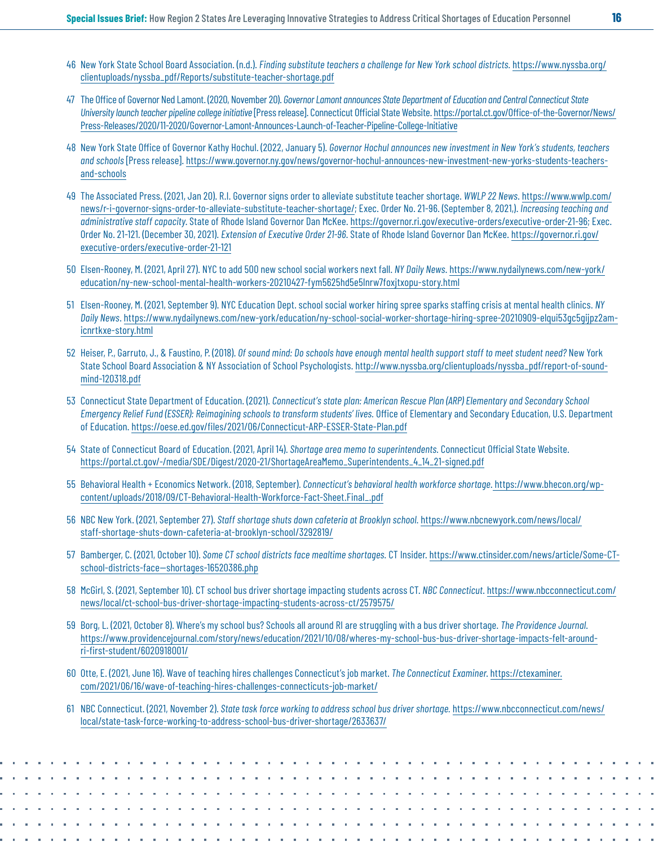- <span id="page-15-0"></span>[46](#page-3-0) New York State School Board Association. (n.d.). *Finding substitute teachers a challenge for New York school districts.* [https://www.nyssba.org/](https://www.nyssba.org/clientuploads/nyssba_pdf/Reports/substitute-teacher-shortage.pdf) [clientuploads/nyssba\\_pdf/Reports/substitute-teacher-shortage.pdf](https://www.nyssba.org/clientuploads/nyssba_pdf/Reports/substitute-teacher-shortage.pdf)
- [47](#page-3-0) The Office of Governor Ned Lamont. (2020, November 20). *Governor Lamont announces State Department of Education and Central Connecticut State University launch teacher pipeline college initiative* [Press release]. Connecticut Official State Website. [https://portal.ct.gov/Office-of-the-Governor/News/](https://portal.ct.gov/Office-of-the-Governor/News/Press-Releases/2020/11-2020/Governor-Lamont-Announces-Launch-of-Teacher-Pipeline-College-Initiative) [Press-Releases/2020/11-2020/Governor-Lamont-Announces-Launch-of-Teacher-Pipeline-College-Initiative](https://portal.ct.gov/Office-of-the-Governor/News/Press-Releases/2020/11-2020/Governor-Lamont-Announces-Launch-of-Teacher-Pipeline-College-Initiative)
- [48](#page-3-0) New York State Office of Governor Kathy Hochul. (2022, January 5). *Governor Hochul announces new investment in New York's students, teachers and schools* [Press release]. [https://www.governor.ny.gov/news/governor-hochul-announces-new-investment-new-yorks-students-teachers](https://www.governor.ny.gov/news/governor-hochul-announces-new-investment-new-yorks-students-teachers-and-schools)[and-schools](https://www.governor.ny.gov/news/governor-hochul-announces-new-investment-new-yorks-students-teachers-and-schools)
- [49](#page-3-0) The Associated Press. (2021, Jan 20). R.I. Governor signs order to alleviate substitute teacher shortage. *WWLP 22 News*. [https://www.wwlp.com/](https://www.wwlp.com/news/r-i-governor-signs-order-to-alleviate-substitute-teacher-shortage/) [news/r-i-governor-signs-order-to-alleviate-substitute-teacher-shortage/](https://www.wwlp.com/news/r-i-governor-signs-order-to-alleviate-substitute-teacher-shortage/); Exec. Order No. 21-96. (September 8, 2021,). *Increasing teaching and administrative staff capacity*. State of Rhode Island Governor Dan McKee.<https://governor.ri.gov/executive-orders/executive-order-21-96>; Exec. Order No. 21-121. (December 30, 2021). *Extension of Executive Order 21-96*. State of Rhode Island Governor Dan McKee. [https://governor.ri.gov/](https://governor.ri.gov/executive-orders/executive-order-21-121) [executive-orders/executive-order-21-121](https://governor.ri.gov/executive-orders/executive-order-21-121)
- [50](#page-3-0) Elsen-Rooney, M. (2021, April 27). NYC to add 500 new school social workers next fall. *NY Daily News*. [https://www.nydailynews.com/new-york/](https://www.nydailynews.com/new-york/education/ny-new-school-mental-health-workers-20210427-fym5625hd5e5lnrw7foxjtxopu-story.html) [education/ny-new-school-mental-health-workers-20210427-fym5625hd5e5lnrw7foxjtxopu-story.html](https://www.nydailynews.com/new-york/education/ny-new-school-mental-health-workers-20210427-fym5625hd5e5lnrw7foxjtxopu-story.html)
- [51](#page-3-0) Elsen-Rooney, M. (2021, September 9). NYC Education Dept. school social worker hiring spree sparks staffing crisis at mental health clinics. *NY Daily News*. [https://www.nydailynews.com/new-york/education/ny-school-social-worker-shortage-hiring-spree-20210909-elqui53gc5gijpz2am](https://www.nydailynews.com/new-york/education/ny-school-social-worker-shortage-hiring-spree-20210909-elqui53gc5gijpz2amicnrtkxe-story.html)[icnrtkxe-story.html](https://www.nydailynews.com/new-york/education/ny-school-social-worker-shortage-hiring-spree-20210909-elqui53gc5gijpz2amicnrtkxe-story.html)
- [52](#page-4-0) Heiser, P., Garruto, J., & Faustino, P. (2018). *Of sound mind: Do schools have enough mental health support staff to meet student need?* New York State School Board Association & NY Association of School Psychologists. [http://www.nyssba.org/clientuploads/nyssba\\_pdf/report-of-sound](http://www.nyssba.org/clientuploads/nyssba_pdf/report-of-sound-mind-120318.pdf)[mind-120318.pdf](http://www.nyssba.org/clientuploads/nyssba_pdf/report-of-sound-mind-120318.pdf)
- [53](#page-4-0) Connecticut State Department of Education. (2021). *Connecticut's state plan: American Rescue Plan (ARP) Elementary and Secondary School Emergency Relief Fund (ESSER): Reimagining schools to transform students' lives.* Office of Elementary and Secondary Education, U.S. Department of Education. <https://oese.ed.gov/files/2021/06/Connecticut-ARP-ESSER-State-Plan.pdf>
- [54](#page-4-0) State of Connecticut Board of Education. (2021, April 14). *Shortage area memo to superintendents.* Connecticut Official State Website. [https://portal.ct.gov/-/media/SDE/Digest/2020-21/ShortageAreaMemo\\_Superintendents\\_4\\_14\\_21-signed.pdf](https://portal.ct.gov/-/media/SDE/Digest/2020-21/ShortageAreaMemo_Superintendents_4_14_21-signed.pdf)
- [55](#page-4-0) Behavioral Health + Economics Network. (2018, September). *Connecticut's behavioral health workforce shortage*. [https://www.bhecon.org/wp](https://www.bhecon.org/wp-content/uploads/2018/09/CT-Behavioral-Health-Workforce-Fact-Sheet.Final_.pdf)[content/uploads/2018/09/CT-Behavioral-Health-Workforce-Fact-Sheet.Final\\_.pdf](https://www.bhecon.org/wp-content/uploads/2018/09/CT-Behavioral-Health-Workforce-Fact-Sheet.Final_.pdf)
- [56](#page-4-0) NBC New York. (2021, September 27). *Staff shortage shuts down cafeteria at Brooklyn school.* [https://www.nbcnewyork.com/news/local/](https://www.nbcnewyork.com/news/local/staff-shortage-shuts-down-cafeteria-at-brooklyn-school/3292819/) [staff-shortage-shuts-down-cafeteria-at-brooklyn-school/3292819/](https://www.nbcnewyork.com/news/local/staff-shortage-shuts-down-cafeteria-at-brooklyn-school/3292819/)
- [57](#page-4-0) Bamberger, C. (2021, October 10). *Some CT school districts face mealtime shortages.* CT Insider. [https://www.ctinsider.com/news/article/Some-CT](https://www.ctinsider.com/news/article/Some-CT-school-districts-face--shortages-16520386.php)school-districts-face-shortages-16520386.php
- [58](#page-4-0) McGirl, S. (2021, September 10). CT school bus driver shortage impacting students across CT. *NBC Connecticut*. [https://www.nbcconnecticut.com/](https://www.nbcconnecticut.com/news/local/ct-school-bus-driver-shortage-impacting-students-across-ct/2579575/) [news/local/ct-school-bus-driver-shortage-impacting-students-across-ct/2579575/](https://www.nbcconnecticut.com/news/local/ct-school-bus-driver-shortage-impacting-students-across-ct/2579575/)
- [59](#page-4-0) Borg, L. (2021, October 8). Where's my school bus? Schools all around RI are struggling with a bus driver shortage. *The Providence Journal*. [https://www.providencejournal.com/story/news/education/2021/10/08/wheres-my-school-bus-bus-driver-shortage-impacts-felt-around](https://www.providencejournal.com/story/news/education/2021/10/08/wheres-my-school-bus-bus-driver-shortage-impacts-felt-around- ri-first-student/6020918001/)[ri-first-student/6020918001/](https://www.providencejournal.com/story/news/education/2021/10/08/wheres-my-school-bus-bus-driver-shortage-impacts-felt-around- ri-first-student/6020918001/)
- [60](#page-4-0) Otte, E. (2021, June 16). Wave of teaching hires challenges Connecticut's job market. *The Connecticut Examiner*. [https://ctexaminer.](https://ctexaminer.com/2021/06/16/wave-of-teaching-hires-challenges-connecticuts-job-market/) [com/2021/06/16/wave-of-teaching-hires-challenges-connecticuts-job-market/](https://ctexaminer.com/2021/06/16/wave-of-teaching-hires-challenges-connecticuts-job-market/)
- [61](#page-4-0) NBC Connecticut. (2021, November 2). *State task force working to address school bus driver shortage.* [https://www.nbcconnecticut.com/news/](https://www.nbcconnecticut.com/news/local/state-task-force-working-to-address-school-bus-driver-shortage/2633637/) [local/state-task-force-working-to-address-school-bus-driver-shortage/2633637/](https://www.nbcconnecticut.com/news/local/state-task-force-working-to-address-school-bus-driver-shortage/2633637/)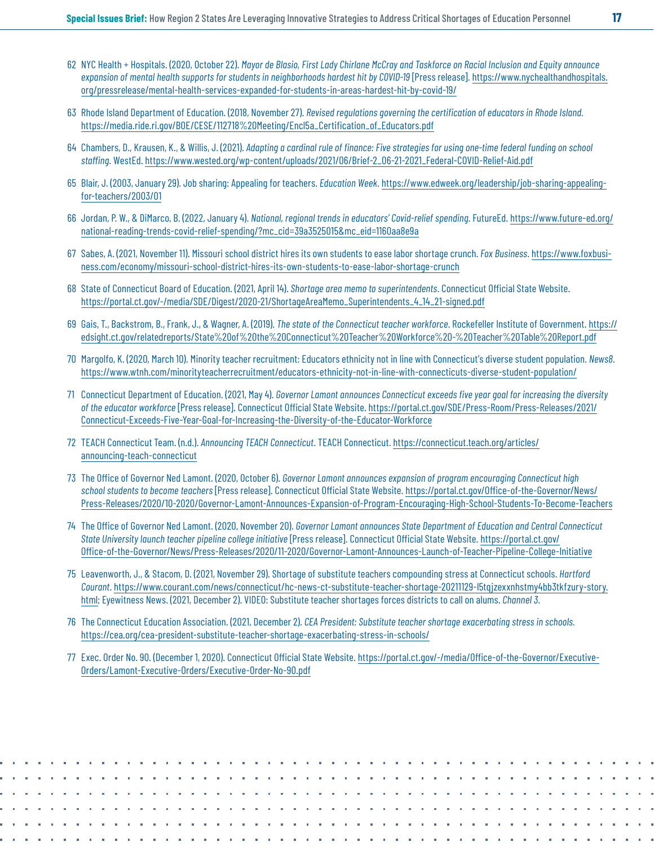- <span id="page-16-0"></span>[62](#page-4-0) NYC Health + Hospitals. (2020, October 22). *Mayor de Blasio, First Lady Chirlane McCray and Taskforce on Racial Inclusion and Equity announce expansion of mental health supports for students in neighborhoods hardest hit by COVID-19* [Press release]. [https://www.nychealthandhospitals.](https://www.nychealthandhospitals.org/pressrelease/mental-health-services-expanded-for-students-in-areas-hardest-hit-by-covid-19/) [org/pressrelease/mental-health-services-expanded-for-students-in-areas-hardest-hit-by-covid-19/](https://www.nychealthandhospitals.org/pressrelease/mental-health-services-expanded-for-students-in-areas-hardest-hit-by-covid-19/)
- [63](#page-4-0) Rhode Island Department of Education. (2018, November 27). *Revised regulations governing the certification of educators in Rhode Island.*  [https://media.ride.ri.gov/BOE/CESE/112718%20Meeting/Encl5a\\_Certification\\_of\\_Educators.pdf](https://media.ride.ri.gov/BOE/CESE/112718%20Meeting/Encl5a_Certification_of_Educators.pdf)
- [64](#page-5-0) Chambers, D., Krausen, K., & Willis, J. (2021). *Adapting a cardinal rule of finance: Five strategies for using one-time federal funding on school staffing*. WestEd. [https://www.wested.org/wp-content/uploads/2021/06/Brief-2\\_06-21-2021\\_Federal-COVID-Relief-Aid.pdf](https://www.wested.org/wp-content/uploads/2021/06/Brief-2_06-21-2021_Federal-COVID-Relief-Aid.pdf)
- [65](#page-5-0) Blair, J. (2003, January 29). Job sharing: Appealing for teachers. *Education Week*. [https://www.edweek.org/leadership/job-sharing-appealing](https://www.edweek.org/leadership/job-sharing-appealing-for-teachers/2003/01)[for-teachers/2003/01](https://www.edweek.org/leadership/job-sharing-appealing-for-teachers/2003/01)
- [66](#page-6-0) Jordan, P. W., & DiMarco, B. (2022, January 4). *National, regional trends in educators' Covid-relief spending*. FutureEd. [https://www.future-ed.org/](https://www.future-ed.org/national-reading-trends-covid-relief-spending/?mc_cid=39a3525015&mc_eid=1160aa8e9a) [national-reading-trends-covid-relief-spending/?mc\\_cid=39a3525015&mc\\_eid=1160aa8e9a](https://www.future-ed.org/national-reading-trends-covid-relief-spending/?mc_cid=39a3525015&mc_eid=1160aa8e9a)
- [67](#page-6-0) Sabes, A. (2021, November 11). Missouri school district hires its own students to ease labor shortage crunch. *Fox Business*. [https://www.foxbusi](https://www.foxbusiness.com/economy/missouri-school-district-hires-its-own-students-to-ease-labor-shortage-crunch)[ness.com/economy/missouri-school-district-hires-its-own-students-to-ease-labor-shortage-crunch](https://www.foxbusiness.com/economy/missouri-school-district-hires-its-own-students-to-ease-labor-shortage-crunch)
- [68](#page-7-0) State of Connecticut Board of Education. (2021, April 14). *Shortage area memo to superintendents*. Connecticut Official State Website. [https://portal.ct.gov/-/media/SDE/Digest/2020-21/ShortageAreaMemo\\_Superintendents\\_4\\_14\\_21-signed.pdf](https://portal.ct.gov/-/media/SDE/Digest/2020-21/ShortageAreaMemo_Superintendents_4_14_21-signed.pdf)
- [69](#page-7-0) Gais, T., Backstrom, B., Frank, J., & Wagner, A. (2019). *The state of the Connecticut teacher workforce*. Rockefeller Institute of Government. [https://](ttps://edsight.ct.gov/relatedreports/State%20of%20the%20Connecticut%20Teacher%20Workforce%20-%20Teacher%20Table%20Report.pdf) [edsight.ct.gov/relatedreports/State%20of%20the%20Connecticut%20Teacher%20Workforce%20-%20Teacher%20Table%20Report.pd](ttps://edsight.ct.gov/relatedreports/State%20of%20the%20Connecticut%20Teacher%20Workforce%20-%20Teacher%20Table%20Report.pdf)f
- [70](#page-7-0) Margolfo, K. (2020, March 10). Minority teacher recruitment: Educators ethnicity not in line with Connecticut's diverse student population. *News8*. <https://www.wtnh.com/minorityteacherrecruitment/educators-ethnicity-not-in-line-with-connecticuts-diverse-student-population/>
- [71](#page-7-0) Connecticut Department of Education. (2021, May 4). *Governor Lamont announces Connecticut exceeds five year goal for increasing the diversity of the educator workforce* [Press release]. Connecticut Official State Website. [https://portal.ct.gov/SDE/Press-Room/Press-Releases/2021/](https://portal.ct.gov/SDE/Press-Room/Press-Releases/2021/Connecticut-Exceeds-Five-Year-Goal-for-Increasing-the-Diversity-of-the-Educator-Workforce) [Connecticut-Exceeds-Five-Year-Goal-for-Increasing-the-Diversity-of-the-Educator-Workforce](https://portal.ct.gov/SDE/Press-Room/Press-Releases/2021/Connecticut-Exceeds-Five-Year-Goal-for-Increasing-the-Diversity-of-the-Educator-Workforce)
- [72](#page-7-0) TEACH Connecticut Team. (n.d.). *Announcing TEACH Connecticut*. TEACH Connecticut. [https://connecticut.teach.org/articles/](https://connecticut.teach.org/articles/announcing-teach-connecticut) [announcing-teach-connecticut](https://connecticut.teach.org/articles/announcing-teach-connecticut)
- [73](#page-7-0) The Office of Governor Ned Lamont. (2020, October 6). *Governor Lamont announces expansion of program encouraging Connecticut high school students to become teachers* [Press release]. Connecticut Official State Website. [https://portal.ct.gov/Office-of-the-Governor/News/](https://portal.ct.gov/Office-of-the-Governor/News/Press-Releases/2020/10-2020/Governor-Lamont-Announces-Expansion-of-Program-Encouraging-High-School-Students-To-Become-Teachers) [Press-Releases/2020/10-2020/Governor-Lamont-Announces-Expansion-of-Program-Encouraging-High-School-Students-To-Become-Teachers](https://portal.ct.gov/Office-of-the-Governor/News/Press-Releases/2020/10-2020/Governor-Lamont-Announces-Expansion-of-Program-Encouraging-High-School-Students-To-Become-Teachers)
- [74](#page-7-0) The Office of Governor Ned Lamont. (2020, November 20). *Governor Lamont announces State Department of Education and Central Connecticut State University launch teacher pipeline college initiative* [Press release]. Connecticut Official State Website. [https://portal.ct.gov/](https://portal.ct.gov/Office-of-the-Governor/News/Press-Releases/2020/11-2020/Governor-Lamont-Announces-Launch-of-Teacher-Pipeline-College-Initiative) [Office-of-the-Governor/News/Press-Releases/2020/11-2020/Governor-Lamont-Announces-Launch-of-Teacher-Pipeline-College-Initiative](https://portal.ct.gov/Office-of-the-Governor/News/Press-Releases/2020/11-2020/Governor-Lamont-Announces-Launch-of-Teacher-Pipeline-College-Initiative)
- [75](#page-7-0) Leavenworth, J., & Stacom, D. (2021, November 29). Shortage of substitute teachers compounding stress at Connecticut schools. *Hartford Courant*. [https://www.courant.com/news/connecticut/hc-news-ct-substitute-teacher-shortage-20211129-l5tqjzexxnhstmy4bb3tkfzury-story.](https://www.courant.com/news/connecticut/hc-news-ct-substitute-teacher-shortage-20211129-l5tqjzexxnhstmy4bb3tkfzury-story.html) [html](https://www.courant.com/news/connecticut/hc-news-ct-substitute-teacher-shortage-20211129-l5tqjzexxnhstmy4bb3tkfzury-story.html); Eyewitness News. (2021, December 2). VIDEO: Substitute teacher shortages forces districts to call on alums. *Channel 3*.
- [76](#page-7-0) The Connecticut Education Association. (2021, December 2). *CEA President: Substitute teacher shortage exacerbating stress in schools.* <https://cea.org/cea-president-substitute-teacher-shortage-exacerbating-stress-in-schools/>
- [77](#page-7-0) Exec. Order No. 90. (December 1, 2020). Connecticut Official State Website. [https://portal.ct.gov/-/media/Office-of-the-Governor/Executive-](https://portal.ct.gov/-/media/Office-of-the-Governor/Executive-Orders/Lamont-Executive-Orders/Executive-Order-No-9O.pdf)[Orders/Lamont-Executive-Orders/Executive-Order-No-9O.pdf](https://portal.ct.gov/-/media/Office-of-the-Governor/Executive-Orders/Lamont-Executive-Orders/Executive-Order-No-9O.pdf)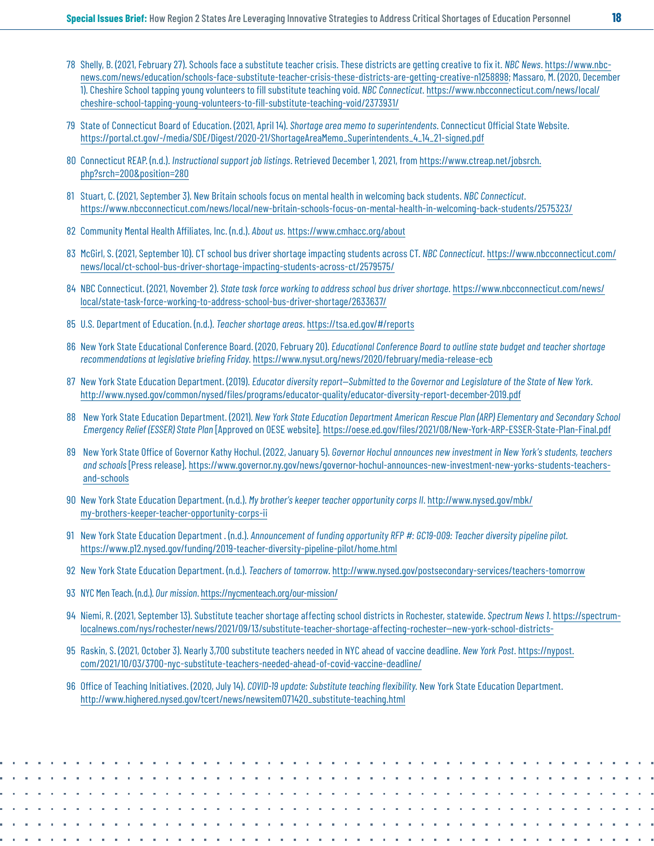- <span id="page-17-0"></span>[78](#page-7-0) Shelly, B. (2021, February 27). Schools face a substitute teacher crisis. These districts are getting creative to fix it. *NBC News*. h[ttps://www.nbc](ttps://www.nbcnews.com/news/education/schools-face-substitute-teacher-crisis-these-districts-are-getting-creative-n1258898)[news.com/news/education/schools-face-substitute-teacher-crisis-these-districts-are-getting-creative-n1258898](ttps://www.nbcnews.com/news/education/schools-face-substitute-teacher-crisis-these-districts-are-getting-creative-n1258898); Massaro, M. (2020, December 1). Cheshire School tapping young volunteers to fill substitute teaching void. *NBC Connecticut*. [https://www.nbcconnecticut.com/news/local/](https://www.nbcconnecticut.com/news/local/cheshire-school-tapping-young-volunteers-to-fill-substitute-teaching-void/2373931/) [cheshire-school-tapping-young-volunteers-to-fill-substitute-teaching-void/2373931/](https://www.nbcconnecticut.com/news/local/cheshire-school-tapping-young-volunteers-to-fill-substitute-teaching-void/2373931/)
- [79](#page-8-0) State of Connecticut Board of Education. (2021, April 14). *Shortage area memo to superintendents*. Connecticut Official State Website. [https://portal.ct.gov/-/media/SDE/Digest/2020-21/ShortageAreaMemo\\_Superintendents\\_4\\_14\\_21-signed.pdf](https://portal.ct.gov/-/media/SDE/Digest/2020-21/ShortageAreaMemo_Superintendents_4_14_21-signed.pdf)
- [80](#page-8-0) Connecticut REAP. (n.d.). *Instructional support job listings*. Retrieved December 1, 2021, from [https://www.ctreap.net/jobsrch.](https://www.ctreap.net/jobsrch.php?srch=200&position=280) [php?srch=200&position=280](https://www.ctreap.net/jobsrch.php?srch=200&position=280)
- [81](#page-8-0) Stuart, C. (2021, September 3). New Britain schools focus on mental health in welcoming back students. *NBC Connecticut*. <https://www.nbcconnecticut.com/news/local/new-britain-schools-focus-on-mental-health-in-welcoming-back-students/2575323/>
- [82](#page-8-0) Community Mental Health Affiliates, Inc. (n.d.). *About us*.<https://www.cmhacc.org/about>
- [83](#page-8-0) McGirl, S. (2021, September 10). CT school bus driver shortage impacting students across CT. *NBC Connecticut*. [https://www.nbcconnecticut.com/](https://www.nbcconnecticut.com/news/local/ct-school-bus-driver-shortage-impacting-students-across-ct/2579575/) [news/local/ct-school-bus-driver-shortage-impacting-students-across-ct/2579575/](https://www.nbcconnecticut.com/news/local/ct-school-bus-driver-shortage-impacting-students-across-ct/2579575/)
- [84](#page-8-0) NBC Connecticut. (2021, November 2). *State task force working to address school bus driver shortage*. [https://www.nbcconnecticut.com/news/](https://www.nbcconnecticut.com/news/local/state-task-force-working-to-address-school-bus-driver-shortage/2633637/) [local/state-task-force-working-to-address-school-bus-driver-shortage/2633637/](https://www.nbcconnecticut.com/news/local/state-task-force-working-to-address-school-bus-driver-shortage/2633637/)
- [85](#page-8-0) U.S. Department of Education. (n.d.). *Teacher shortage areas*. <https://tsa.ed.gov/#/reports>
- [86](#page-8-0) New York State Educational Conference Board. (2020, February 20). *Educational Conference Board to outline state budget and teacher shortage recommendations at legislative briefing Friday*. <https://www.nysut.org/news/2020/february/media-release-ecb>
- [87](#page-8-0) New York State Education Department. (2019). *Educator diversity report—Submitted to the Governor and Legislature of the State of New York*. <http://www.nysed.gov/common/nysed/files/programs/educator-quality/educator-diversity-report-december-2019.pdf>
- [88](#page-8-0) New York State Education Department. (2021). *New York State Education Department American Rescue Plan (ARP) Elementary and Secondary School Emergency Relief (ESSER) State Plan* [Approved on OESE website]. <https://oese.ed.gov/files/2021/08/New-York-ARP-ESSER-State-Plan-Final.pdf>
- [89](#page-8-0) New York State Office of Governor Kathy Hochul. (2022, January 5). *Governor Hochul announces new investment in New York's students, teachers and schools* [Press release]. [https://www.governor.ny.gov/news/governor-hochul-announces-new-investment-new-yorks-students-teachers](https://www.governor.ny.gov/news/governor-hochul-announces-new-investment-new-yorks-students-teachers-and-schools)[and-schools](https://www.governor.ny.gov/news/governor-hochul-announces-new-investment-new-yorks-students-teachers-and-schools)
- [90](#page-9-0) New York State Education Department. (n.d.). *My brother's keeper teacher opportunity corps II*. [http://www.nysed.gov/mbk/](http://www.nysed.gov/mbk/my-brothers-keeper-teacher-opportunity-corps-ii) [my-brothers-keeper-teacher-opportunity-corps-ii](http://www.nysed.gov/mbk/my-brothers-keeper-teacher-opportunity-corps-ii)
- [91](#page-9-0) New York State Education Department . (n.d.). *Announcement of funding opportunity RFP #: GC19-009: Teacher diversity pipeline pilot.*  <https://www.p12.nysed.gov/funding/2019-teacher-diversity-pipeline-pilot/home.html>
- [92](#page-9-0) New York State Education Department. (n.d.). *Teachers of tomorrow*.<http://www.nysed.gov/postsecondary-services/teachers-tomorrow>
- [93](#page-9-0) NYC Men Teach. (n.d.). *Our mission*.<https://nycmenteach.org/our-mission/>
- [94](#page-9-0) Niemi, R. (2021, September 13). Substitute teacher shortage affecting school districts in Rochester, statewide. *Spectrum News 1*. [https://spectrum](https://spectrumlocalnews.com/nys/rochester/news/2021/09/13/substitute-teacher-shortage-affecting-rochester--new-york-school-districts-)[localnews.com/nys/rochester/news/2021/09/13/substitute-teacher-shortage-affecting-rochester--new-york-school-districts-](https://spectrumlocalnews.com/nys/rochester/news/2021/09/13/substitute-teacher-shortage-affecting-rochester--new-york-school-districts-)
- [95](#page-9-0) Raskin, S. (2021, October 3). Nearly 3,700 substitute teachers needed in NYC ahead of vaccine deadline. *New York Post*. [https://nypost.](https://nypost.com/2021/10/03/3700-nyc-substitute-teachers-needed-ahead-of-covid-vaccine-deadline/) [com/2021/10/03/3700-nyc-substitute-teachers-needed-ahead-of-covid-vaccine-deadline/](https://nypost.com/2021/10/03/3700-nyc-substitute-teachers-needed-ahead-of-covid-vaccine-deadline/)
- [96](#page-9-0) Office of Teaching Initiatives. (2020, July 14). *COVID-19 update: Substitute teaching flexibility*. New York State Education Department. [http://www.highered.nysed.gov/tcert/news/newsitem071420\\_substitute-teaching.html](http://www.highered.nysed.gov/tcert/news/newsitem071420_substitute-teaching.html)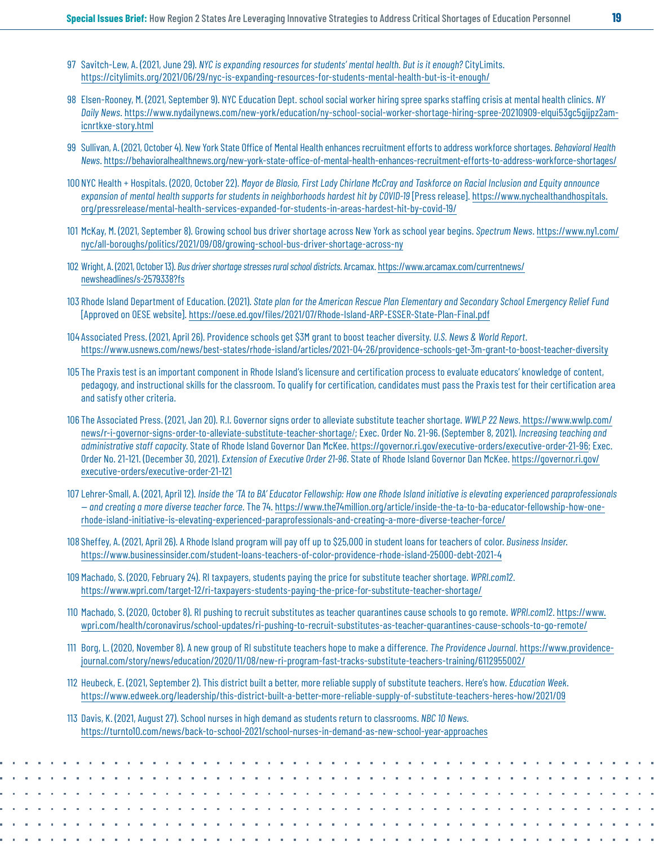- <span id="page-18-0"></span>[97](#page-9-0) Savitch-Lew, A. (2021, June 29). *NYC is expanding resources for students' mental health. But is it enough?* CityLimits. <https://citylimits.org/2021/06/29/nyc-is-expanding-resources-for-students-mental-health-but-is-it-enough/>
- [98](#page-9-0) Elsen-Rooney, M. (2021, September 9). NYC Education Dept. school social worker hiring spree sparks staffing crisis at mental health clinics. *NY Daily News*. [https://www.nydailynews.com/new-york/education/ny-school-social-worker-shortage-hiring-spree-20210909-elqui53gc5gijpz2am](https://www.nydailynews.com/new-york/education/ny-school-social-worker-shortage-hiring-spree-20210909-elqui53gc5gijpz2amicnrtkxe-story.html)[icnrtkxe-story.html](https://www.nydailynews.com/new-york/education/ny-school-social-worker-shortage-hiring-spree-20210909-elqui53gc5gijpz2amicnrtkxe-story.html)
- [99](#page-9-0) Sullivan, A. (2021, October 4). New York State Office of Mental Health enhances recruitment efforts to address workforce shortages. *Behavioral Health News*. https://behavioralhealthnews.org/new-york-state-office-of-mental-health-enhances-recruitment-efforts-to-address-workforce-shortages/
- [100](#page-9-0) NYC Health + Hospitals. (2020, October 22). *Mayor de Blasio, First Lady Chirlane McCray and Taskforce on Racial Inclusion and Equity announce expansion of mental health supports for students in neighborhoods hardest hit by COVID-19* [Press release]. [https://www.nychealthandhospitals.](https://www.nychealthandhospitals.org/pressrelease/mental-health-services-expanded-for-students-in-areas-hardest-hit-by-covid-19/) [org/pressrelease/mental-health-services-expanded-for-students-in-areas-hardest-hit-by-covid-19/](https://www.nychealthandhospitals.org/pressrelease/mental-health-services-expanded-for-students-in-areas-hardest-hit-by-covid-19/)
- [101](#page-10-0) McKay, M. (2021, September 8). Growing school bus driver shortage across New York as school year begins. *Spectrum News*. [https://www.ny1.com/](https://www.ny1.com/nyc/all-boroughs/politics/2021/09/08/growing-school-bus-driver-shortage-across-ny) [nyc/all-boroughs/politics/2021/09/08/growing-school-bus-driver-shortage-across-ny](https://www.ny1.com/nyc/all-boroughs/politics/2021/09/08/growing-school-bus-driver-shortage-across-ny)
- [102](#page-10-0) Wright, A. (2021, October 13). *Bus driver shortage stresses rural school districts*. Arcamax. [https://www.arcamax.com/currentnews/](https://www.arcamax.com/currentnews/newsheadlines/s-2579338?fs) [newsheadlines/s-2579338?fs](https://www.arcamax.com/currentnews/newsheadlines/s-2579338?fs)
- [103](#page-10-0) Rhode Island Department of Education. (2021). *State plan for the American Rescue Plan Elementary and Secondary School Emergency Relief Fund* [Approved on OESE website]. <https://oese.ed.gov/files/2021/07/Rhode-Island-ARP-ESSER-State-Plan-Final.pdf>
- [104](#page-10-0) Associated Press. (2021, April 26). Providence schools get \$3M grant to boost teacher diversity. *U.S. News & World Report*. <https://www.usnews.com/news/best-states/rhode-island/articles/2021-04-26/providence-schools-get-3m-grant-to-boost-teacher-diversity>
- [105](#page-10-0) The Praxis test is an important component in Rhode Island's licensure and certification process to evaluate educators' knowledge of content, pedagogy, and instructional skills for the classroom. To qualify for certification, candidates must pass the Praxis test for their certification area and satisfy other criteria.
- [106](#page-10-0) The Associated Press. (2021, Jan 20). R.I. Governor signs order to alleviate substitute teacher shortage. *WWLP 22 News*. [https://www.wwlp.com/](https://www.wwlp.com/news/r-i-governor-signs-order-to-alleviate-substitute-teacher-shortage/) [news/r-i-governor-signs-order-to-alleviate-substitute-teacher-shortage](https://www.wwlp.com/news/r-i-governor-signs-order-to-alleviate-substitute-teacher-shortage/)/; Exec. Order No. 21-96. (September 8, 2021). *Increasing teaching and administrative staff capacity*. State of Rhode Island Governor Dan McKee. <https://governor.ri.gov/executive-orders/executive-order-21-96>; Exec. Order No. 21-121. (December 30, 2021). *Extension of Executive Order 21-96*. State of Rhode Island Governor Dan McKee. [https://governor.ri.gov/](https://governor.ri.gov/executive-orders/executive-order-21-121) [executive-orders/executive-order-21-121](https://governor.ri.gov/executive-orders/executive-order-21-121)
- [107](#page-10-0) Lehrer-Small, A. (2021, April 12). *Inside the 'TA to BA' Educator Fellowship: How one Rhode Island initiative is elevating experienced paraprofessionals — and creating a more diverse teacher force*. The 74. [https://www.the74million.org/article/inside-the-ta-to-ba-educator-fellowship-how-one](https://www.the74million.org/article/inside-the-ta-to-ba-educator-fellowship-how-one-rhode-island-initiative-is-elevating-experienced-paraprofessionals-and-creating-a-more-diverse-teacher-force/)[rhode-island-initiative-is-elevating-experienced-paraprofessionals-and-creating-a-more-diverse-teacher-force/](https://www.the74million.org/article/inside-the-ta-to-ba-educator-fellowship-how-one-rhode-island-initiative-is-elevating-experienced-paraprofessionals-and-creating-a-more-diverse-teacher-force/)
- [108](#page-10-0) Sheffey, A. (2021, April 26). A Rhode Island program will pay off up to \$25,000 in student loans for teachers of color. *Business Insider*. <https://www.businessinsider.com/student-loans-teachers-of-color-providence-rhode-island-25000-debt-2021-4>
- [109](#page-10-0) Machado, S. (2020, February 24). RI taxpayers, students paying the price for substitute teacher shortage. *WPRI.com12*. <https://www.wpri.com/target-12/ri-taxpayers-students-paying-the-price-for-substitute-teacher-shortage/>
- [110](#page-10-0) Machado, S. (2020, October 8). RI pushing to recruit substitutes as teacher quarantines cause schools to go remote. *WPRI.com12*. [https://www.](https://www.wpri.com/health/coronavirus/school-updates/ri-pushing-to-recruit-substitutes-as-teacher-quarantines-cause-schools-to-go-remote/) [wpri.com/health/coronavirus/school-updates/ri-pushing-to-recruit-substitutes-as-teacher-quarantines-cause-schools-to-go-remote/](https://www.wpri.com/health/coronavirus/school-updates/ri-pushing-to-recruit-substitutes-as-teacher-quarantines-cause-schools-to-go-remote/)
- [111](#page-11-0) Borg, L. (2020, November 8). A new group of RI substitute teachers hope to make a difference. *The Providence Journal*. [https://www.providence](https://www.providencejournal.com/story/news/education/2020/11/08/new-ri-program-fast-tracks-substitute-teachers-training/6112955002/)[journal.com/story/news/education/2020/11/08/new-ri-program-fast-tracks-substitute-teachers-training/6112955002/](https://www.providencejournal.com/story/news/education/2020/11/08/new-ri-program-fast-tracks-substitute-teachers-training/6112955002/)
- [112](#page-11-0) Heubeck, E. (2021, September 2). This district built a better, more reliable supply of substitute teachers. Here's how. *Education Week*. <https://www.edweek.org/leadership/this-district-built-a-better-more-reliable-supply-of-substitute-teachers-heres-how/2021/09>
- [113](#page-11-0) Davis, K. (2021, August 27). School nurses in high demand as students return to classrooms. *NBC 10 News.* <https://turnto10.com/news/back-to-school-2021/school-nurses-in-demand-as-new-school-year-approaches>